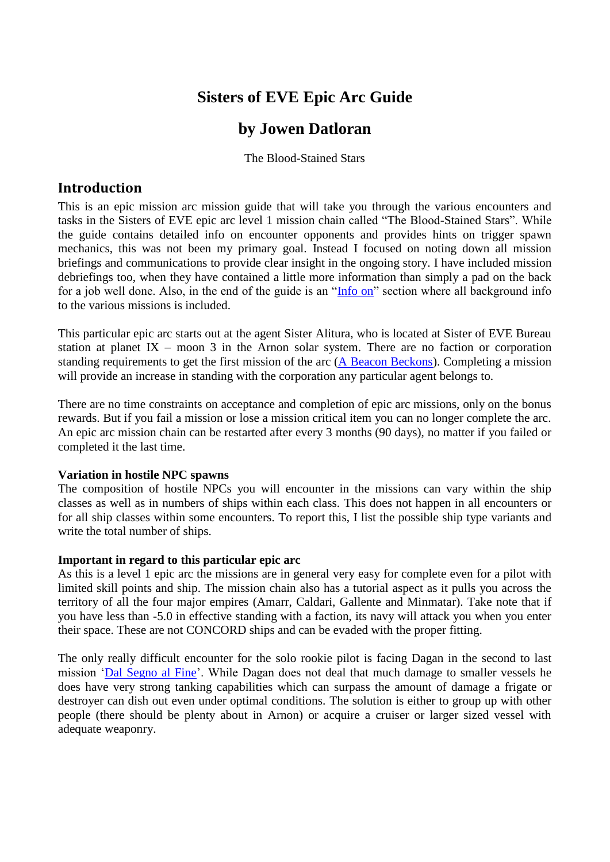# **Sisters of EVE Epic Arc Guide**

# **by Jowen Datloran**

The Blood-Stained Stars

## <span id="page-0-0"></span>**Introduction**

This is an epic mission arc mission guide that will take you through the various encounters and tasks in the Sisters of EVE epic arc level 1 mission chain called "The Blood-Stained Stars". While the guide contains detailed info on encounter opponents and provides hints on trigger spawn mechanics, this was not been my primary goal. Instead I focused on noting down all mission briefings and communications to provide clear insight in the ongoing story. I have included mission debriefings too, when they have contained a little more information than simply a pad on the back for a job well done. Also, in the end of the guide is an " $Info on$ " section where all background info</u> to the various missions is included.

This particular epic arc starts out at the agent Sister Alitura, who is located at Sister of EVE Bureau station at planet IX – moon 3 in the Arnon solar system. There are no faction or corporation standing requirements to get the first mission of the arc  $(A$  Beacon Beckons). Completing a mission will provide an increase in standing with the corporation any particular agent belongs to.

There are no time constraints on acceptance and completion of epic arc missions, only on the bonus rewards. But if you fail a mission or lose a mission critical item you can no longer complete the arc. An epic arc mission chain can be restarted after every 3 months (90 days), no matter if you failed or completed it the last time.

### <span id="page-0-1"></span>**Variation in hostile NPC spawns**

The composition of hostile NPCs you will encounter in the missions can vary within the ship classes as well as in numbers of ships within each class. This does not happen in all encounters or for all ship classes within some encounters. To report this, I list the possible ship type variants and write the total number of ships.

#### <span id="page-0-2"></span>**Important in regard to this particular epic arc**

As this is a level 1 epic arc the missions are in general very easy for complete even for a pilot with limited skill points and ship. The mission chain also has a tutorial aspect as it pulls you across the territory of all the four major empires (Amarr, Caldari, Gallente and Minmatar). Take note that if you have less than -5.0 in effective standing with a faction, its navy will attack you when you enter their space. These are not CONCORD ships and can be evaded with the proper fitting.

The only really difficult encounter for the solo rookie pilot is facing Dagan in the second to last mission 'Dal Segno al Fine'. While Dagan does not deal that much damage to smaller vessels he does have very strong tanking capabilities which can surpass the amount of damage a frigate or destroyer can dish out even under optimal conditions. The solution is either to group up with other people (there should be plenty about in Arnon) or acquire a cruiser or larger sized vessel with adequate weaponry.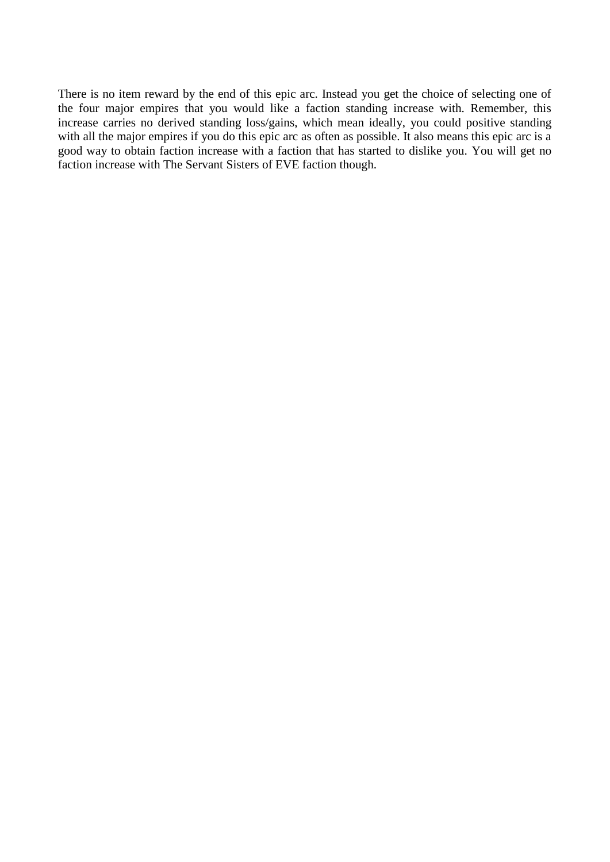There is no item reward by the end of this epic arc. Instead you get the choice of selecting one of the four major empires that you would like a faction standing increase with. Remember, this increase carries no derived standing loss/gains, which mean ideally, you could positive standing with all the major empires if you do this epic arc as often as possible. It also means this epic arc is a good way to obtain faction increase with a faction that has started to dislike you. You will get no faction increase with The Servant Sisters of EVE faction though.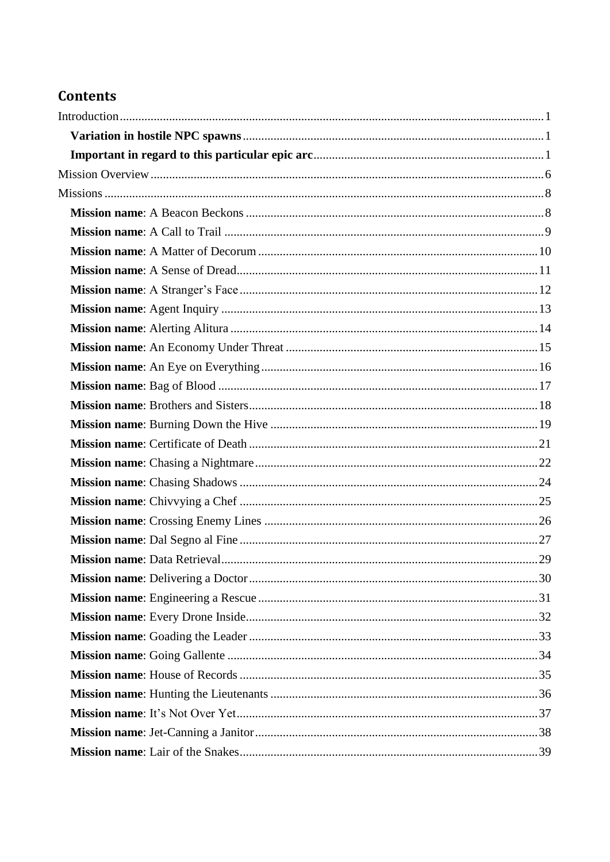# **Contents**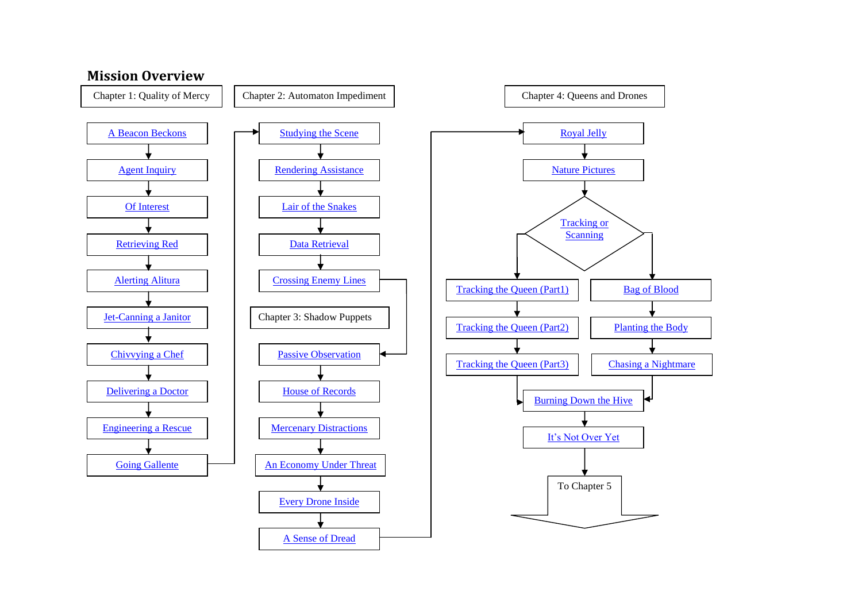<span id="page-5-1"></span><span id="page-5-0"></span>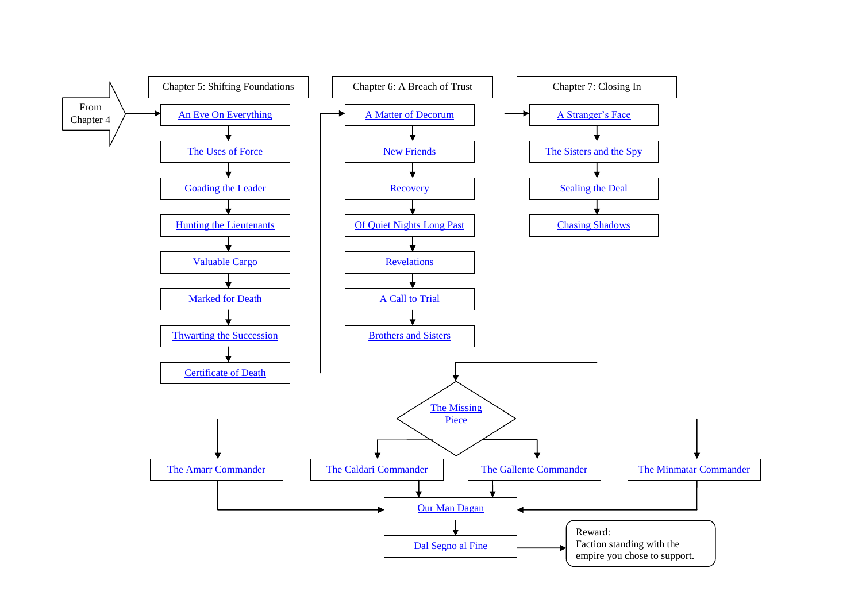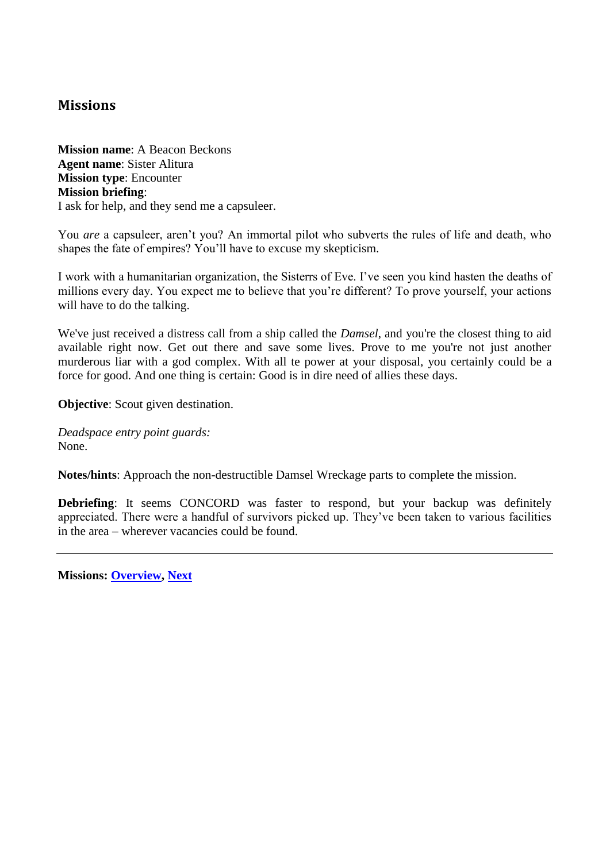## <span id="page-7-3"></span><span id="page-7-1"></span>**Missions**

<span id="page-7-2"></span><span id="page-7-0"></span>**Mission name**: A Beacon Beckons **Agent name**: Sister Alitura **Mission type**: Encounter **Mission briefing**: I ask for help, and they send me a capsuleer.

You *are* a capsuleer, aren't you? An immortal pilot who subverts the rules of life and death, who shapes the fate of empires? You'll have to excuse my skepticism.

I work with a humanitarian organization, the Sisterrs of Eve. I've seen you kind hasten the deaths of millions every day. You expect me to believe that you're different? To prove yourself, your actions will have to do the talking.

We've just received a distress call from a ship called the *Damsel*, and you're the closest thing to aid available right now. Get out there and save some lives. Prove to me you're not just another murderous liar with a god complex. With all te power at your disposal, you certainly could be a force for good. And one thing is certain: Good is in dire need of allies these days.

**Objective**: Scout given destination.

*Deadspace entry point guards:* None.

**Notes/hints**: Approach the non-destructible Damsel Wreckage parts to complete the mission.

**Debriefing**: It seems CONCORD was faster to respond, but your backup was definitely appreciated. There were a handful of survivors picked up. They've been taken to various facilities in the area – wherever vacancies could be found.

**Missions: [Overview,](#page-5-1) [Next](#page-12-2)**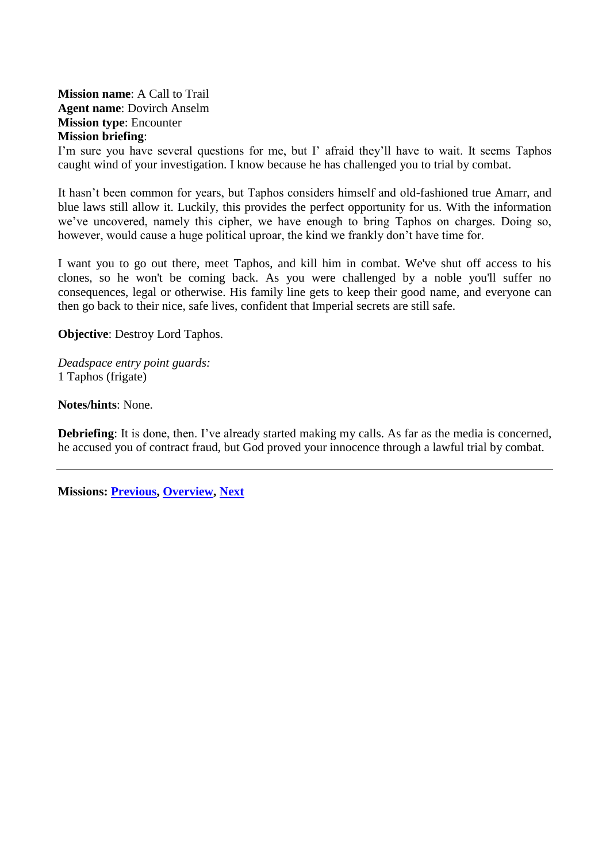<span id="page-8-2"></span><span id="page-8-1"></span><span id="page-8-0"></span>**Mission name**: A Call to Trail **Agent name**: Dovirch Anselm **Mission type**: Encounter **Mission briefing**:

I'm sure you have several questions for me, but I' afraid they'll have to wait. It seems Taphos caught wind of your investigation. I know because he has challenged you to trial by combat.

It hasn't been common for years, but Taphos considers himself and old-fashioned true Amarr, and blue laws still allow it. Luckily, this provides the perfect opportunity for us. With the information we've uncovered, namely this cipher, we have enough to bring Taphos on charges. Doing so, however, would cause a huge political uproar, the kind we frankly don't have time for.

I want you to go out there, meet Taphos, and kill him in combat. We've shut off access to his clones, so he won't be coming back. As you were challenged by a noble you'll suffer no consequences, legal or otherwise. His family line gets to keep their good name, and everyone can then go back to their nice, safe lives, confident that Imperial secrets are still safe.

**Objective**: Destroy Lord Taphos.

*Deadspace entry point guards:* 1 Taphos (frigate)

**Notes/hints**: None.

**Debriefing**: It is done, then. I've already started making my calls. As far as the media is concerned, he accused you of contract fraud, but God proved your innocence through a lawful trial by combat.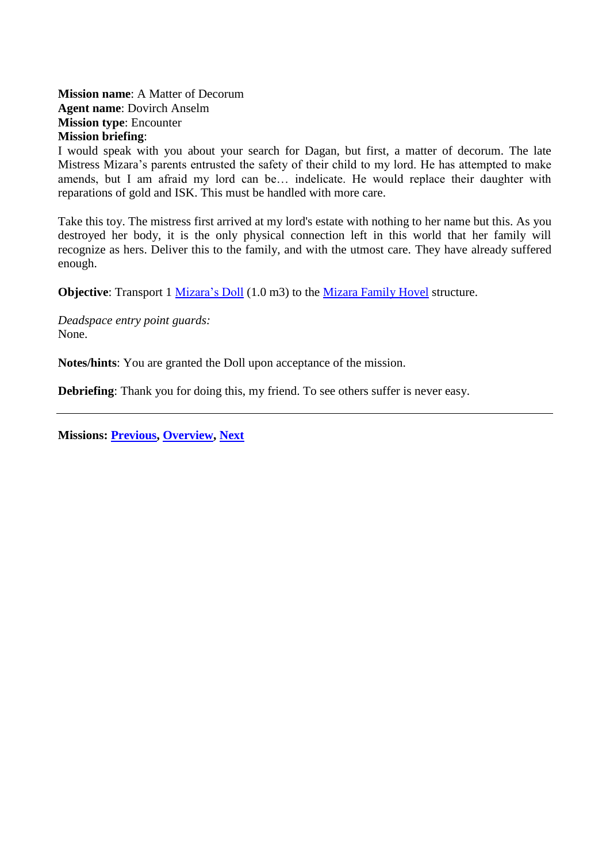<span id="page-9-2"></span><span id="page-9-1"></span><span id="page-9-0"></span>**Mission name**: A Matter of Decorum **Agent name**: Dovirch Anselm **Mission type**: Encounter **Mission briefing**:

I would speak with you about your search for Dagan, but first, a matter of decorum. The late Mistress Mizara's parents entrusted the safety of their child to my lord. He has attempted to make amends, but I am afraid my lord can be… indelicate. He would replace their daughter with reparations of gold and ISK. This must be handled with more care.

Take this toy. The mistress first arrived at my lord's estate with nothing to her name but this. As you destroyed her body, it is the only physical connection left in this world that her family will recognize as hers. Deliver this to the family, and with the utmost care. They have already suffered enough.

**Objective**: Transport 1 [Mizara's Doll](#page-72-1) (1.0 m3) to the [Mizara Family Hovel](#page-72-2) structure.

*Deadspace entry point guards:* None.

**Notes/hints**: You are granted the Doll upon acceptance of the mission.

**Debriefing**: Thank you for doing this, my friend. To see others suffer is never easy.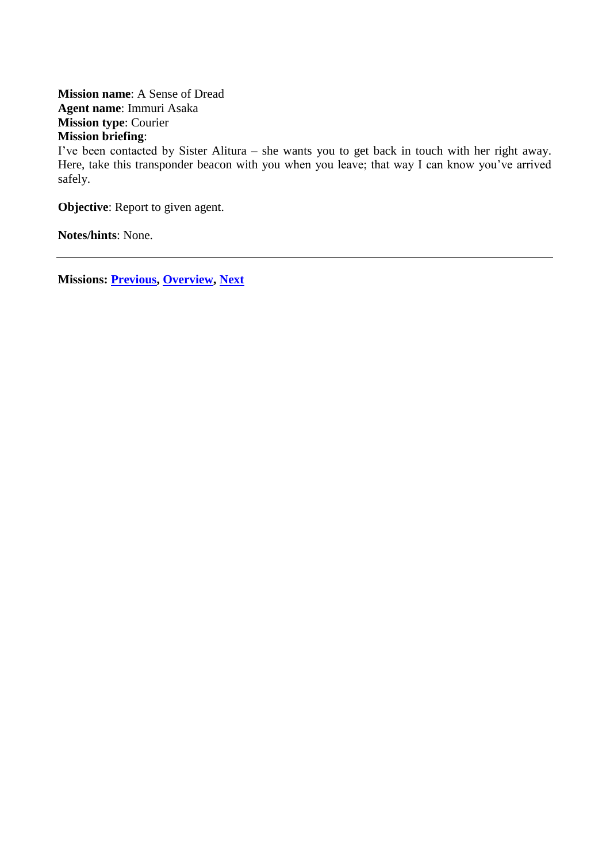<span id="page-10-2"></span><span id="page-10-1"></span><span id="page-10-0"></span>**Mission name**: A Sense of Dread **Agent name**: Immuri Asaka **Mission type**: Courier **Mission briefing**:

I've been contacted by Sister Alitura – she wants you to get back in touch with her right away. Here, take this transponder beacon with you when you leave; that way I can know you've arrived safely.

**Objective**: Report to given agent.

**Notes/hints**: None.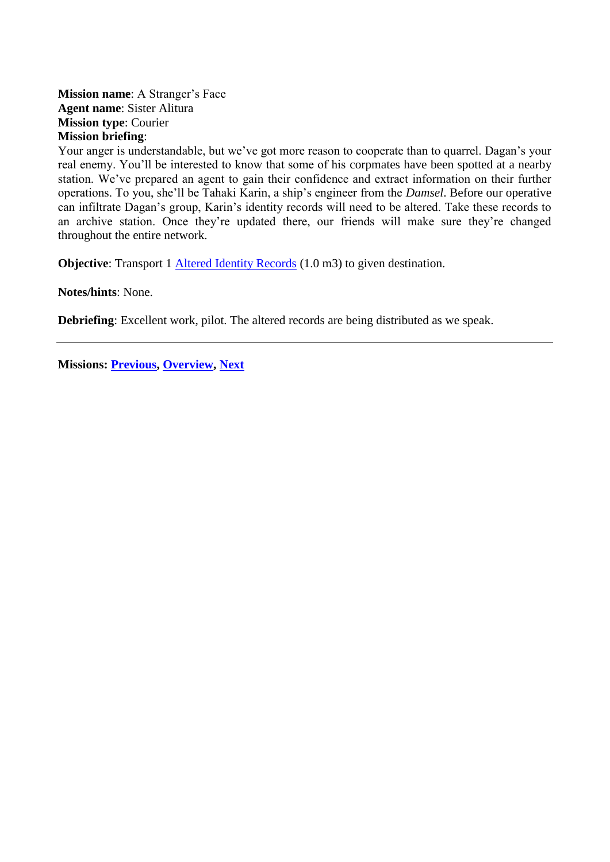#### <span id="page-11-2"></span><span id="page-11-1"></span><span id="page-11-0"></span>**Mission name**: A Stranger's Face **Agent name**: Sister Alitura **Mission type**: Courier **Mission briefing**:

Your anger is understandable, but we've got more reason to cooperate than to quarrel. Dagan's your real enemy. You'll be interested to know that some of his corpmates have been spotted at a nearby station. We've prepared an agent to gain their confidence and extract information on their further operations. To you, she'll be Tahaki Karin, a ship's engineer from the *Damsel*. Before our operative can infiltrate Dagan's group, Karin's identity records will need to be altered. Take these records to an archive station. Once they're updated there, our friends will make sure they're changed throughout the entire network.

**Objective**: Transport 1 [Altered Identity Records](#page-69-2) (1.0 m3) to given destination.

**Notes/hints**: None.

**Debriefing**: Excellent work, pilot. The altered records are being distributed as we speak.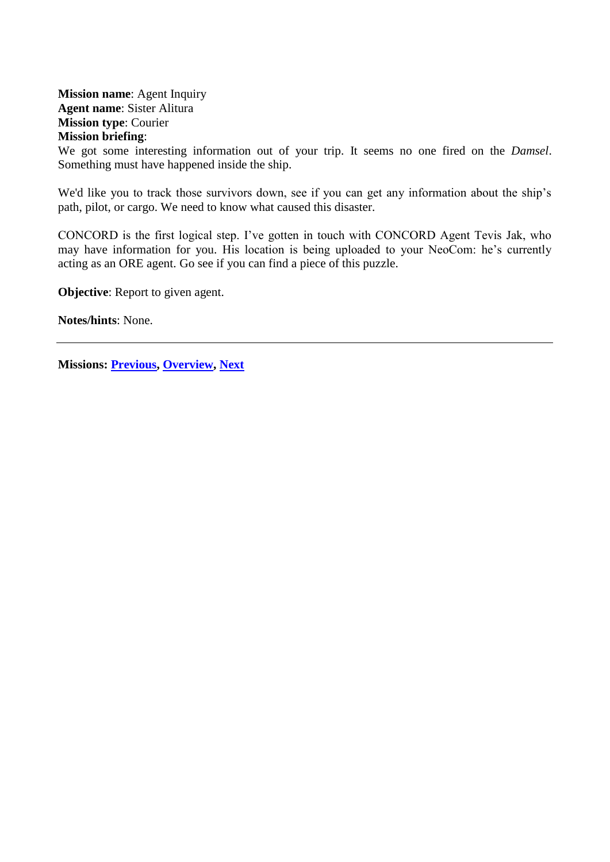<span id="page-12-2"></span><span id="page-12-1"></span><span id="page-12-0"></span>**Mission name**: Agent Inquiry **Agent name**: Sister Alitura **Mission type**: Courier **Mission briefing**:

We got some interesting information out of your trip. It seems no one fired on the *Damsel*. Something must have happened inside the ship.

We'd like you to track those survivors down, see if you can get any information about the ship's path, pilot, or cargo. We need to know what caused this disaster.

CONCORD is the first logical step. I've gotten in touch with CONCORD Agent Tevis Jak, who may have information for you. His location is being uploaded to your NeoCom: he's currently acting as an ORE agent. Go see if you can find a piece of this puzzle.

**Objective:** Report to given agent.

**Notes/hints**: None.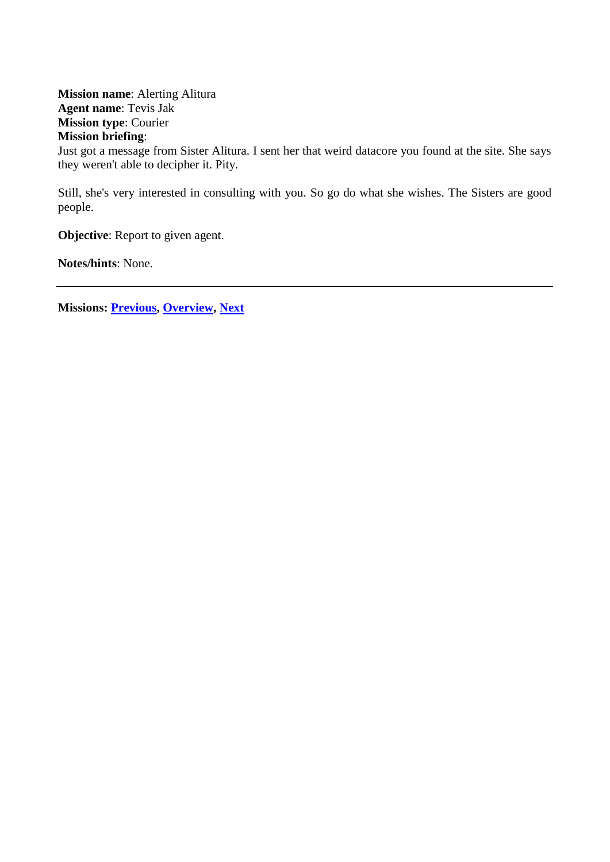<span id="page-13-1"></span><span id="page-13-0"></span>**Mission name**: Alerting Alitura **Agent name**: Tevis Jak **Mission type**: Courier **Mission briefing**: Just got a message from Sister Alitura. I sent her that weird datacore you found at the site. She says they weren't able to decipher it. Pity.

Still, she's very interested in consulting with you. So go do what she wishes. The Sisters are good people.

**Objective**: Report to given agent.

**Notes/hints**: None.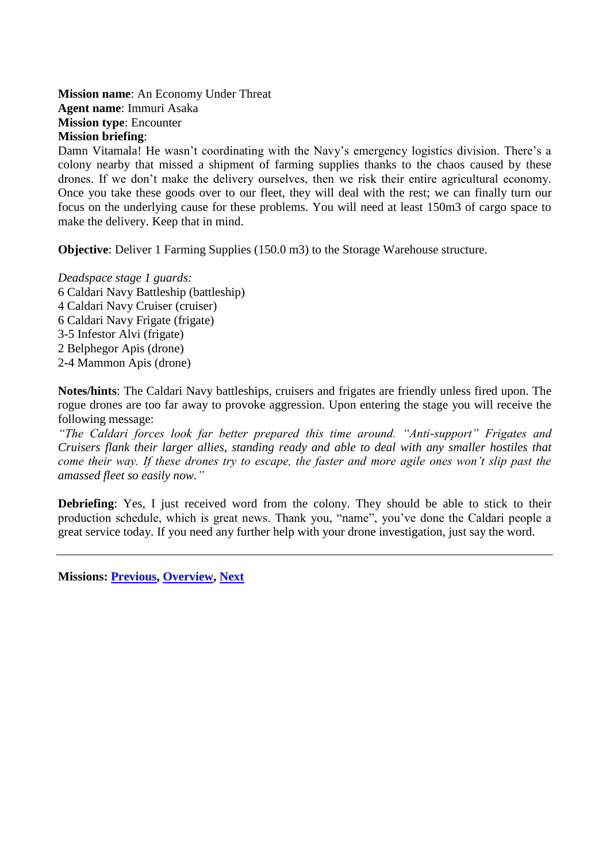<span id="page-14-2"></span><span id="page-14-1"></span><span id="page-14-0"></span>**Mission name**: An Economy Under Threat **Agent name**: Immuri Asaka **Mission type**: Encounter **Mission briefing**:

Damn Vitamala! He wasn't coordinating with the Navy's emergency logistics division. There's a colony nearby that missed a shipment of farming supplies thanks to the chaos caused by these drones. If we don't make the delivery ourselves, then we risk their entire agricultural economy. Once you take these goods over to our fleet, they will deal with the rest; we can finally turn our focus on the underlying cause for these problems. You will need at least 150m3 of cargo space to make the delivery. Keep that in mind.

**Objective**: Deliver 1 Farming Supplies (150.0 m3) to the Storage Warehouse structure.

*Deadspace stage 1 guards:* 6 Caldari Navy Battleship (battleship) 4 Caldari Navy Cruiser (cruiser) 6 Caldari Navy Frigate (frigate) 3-5 Infestor Alvi (frigate) 2 Belphegor Apis (drone) 2-4 Mammon Apis (drone)

**Notes/hints**: The Caldari Navy battleships, cruisers and frigates are friendly unless fired upon. The rogue drones are too far away to provoke aggression. Upon entering the stage you will receive the following message:

*"The Caldari forces look far better prepared this time around. "Anti-support" Frigates and Cruisers flank their larger allies, standing ready and able to deal with any smaller hostiles that come their way. If these drones try to escape, the faster and more agile ones won't slip past the amassed fleet so easily now."*

**Debriefing**: Yes, I just received word from the colony. They should be able to stick to their production schedule, which is great news. Thank you, "name", you've done the Caldari people a great service today. If you need any further help with your drone investigation, just say the word.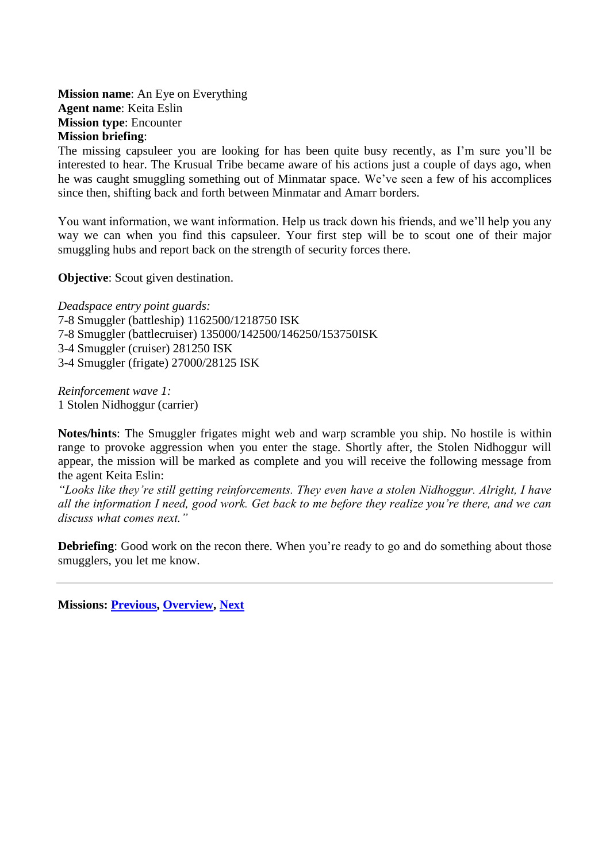<span id="page-15-1"></span><span id="page-15-0"></span>**Mission name**: An Eye on Everything **Agent name**: Keita Eslin **Mission type**: Encounter **Mission briefing**:

The missing capsuleer you are looking for has been quite busy recently, as I'm sure you'll be interested to hear. The Krusual Tribe became aware of his actions just a couple of days ago, when he was caught smuggling something out of Minmatar space. We've seen a few of his accomplices since then, shifting back and forth between Minmatar and Amarr borders.

You want information, we want information. Help us track down his friends, and we'll help you any way we can when you find this capsuleer. Your first step will be to scout one of their major smuggling hubs and report back on the strength of security forces there.

**Objective:** Scout given destination.

*Deadspace entry point guards:* 7-8 Smuggler (battleship) 1162500/1218750 ISK 7-8 Smuggler (battlecruiser) 135000/142500/146250/153750ISK 3-4 Smuggler (cruiser) 281250 ISK 3-4 Smuggler (frigate) 27000/28125 ISK

*Reinforcement wave 1:* 1 Stolen Nidhoggur (carrier)

**Notes/hints**: The Smuggler frigates might web and warp scramble you ship. No hostile is within range to provoke aggression when you enter the stage. Shortly after, the Stolen Nidhoggur will appear, the mission will be marked as complete and you will receive the following message from the agent Keita Eslin:

*"Looks like they're still getting reinforcements. They even have a stolen Nidhoggur. Alright, I have all the information I need, good work. Get back to me before they realize you're there, and we can discuss what comes next."*

**Debriefing**: Good work on the recon there. When you're ready to go and do something about those smugglers, you let me know.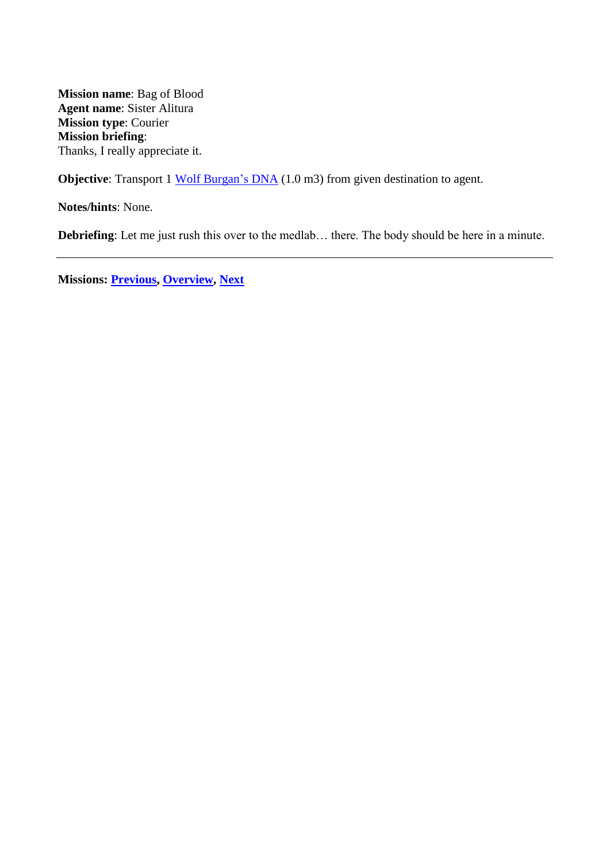<span id="page-16-1"></span><span id="page-16-0"></span>**Mission name**: Bag of Blood **Agent name**: Sister Alitura **Mission type**: Courier **Mission briefing**: Thanks, I really appreciate it.

**Objective**: Transport 1 Wolf [Burgan's](#page-76-1) DNA (1.0 m3) from given destination to agent.

**Notes/hints**: None.

**Debriefing**: Let me just rush this over to the medlab… there. The body should be here in a minute.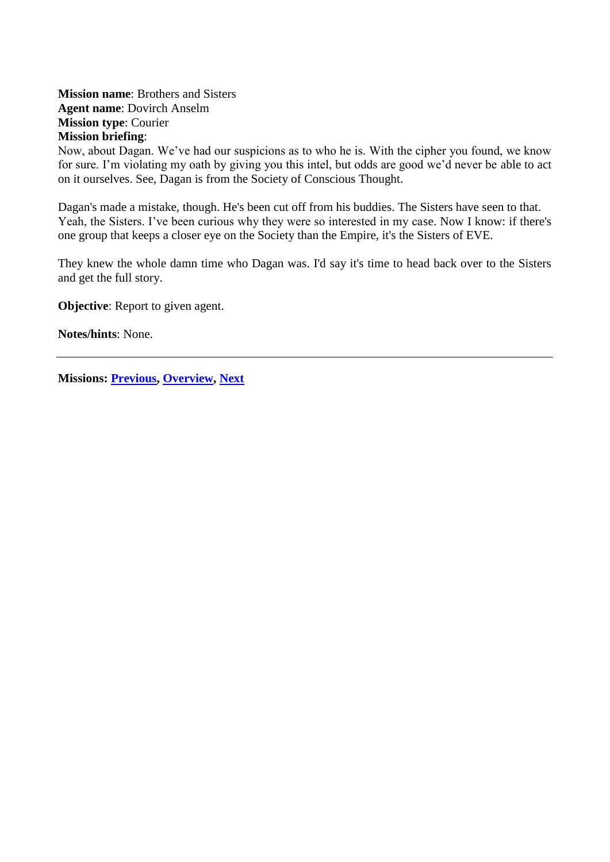<span id="page-17-2"></span><span id="page-17-1"></span><span id="page-17-0"></span>**Mission name**: Brothers and Sisters **Agent name**: Dovirch Anselm **Mission type**: Courier **Mission briefing**:

Now, about Dagan. We've had our suspicions as to who he is. With the cipher you found, we know for sure. I'm violating my oath by giving you this intel, but odds are good we'd never be able to act on it ourselves. See, Dagan is from the Society of Conscious Thought.

Dagan's made a mistake, though. He's been cut off from his buddies. The Sisters have seen to that. Yeah, the Sisters. I've been curious why they were so interested in my case. Now I know: if there's one group that keeps a closer eye on the Society than the Empire, it's the Sisters of EVE.

They knew the whole damn time who Dagan was. I'd say it's time to head back over to the Sisters and get the full story.

**Objective:** Report to given agent.

**Notes/hints**: None.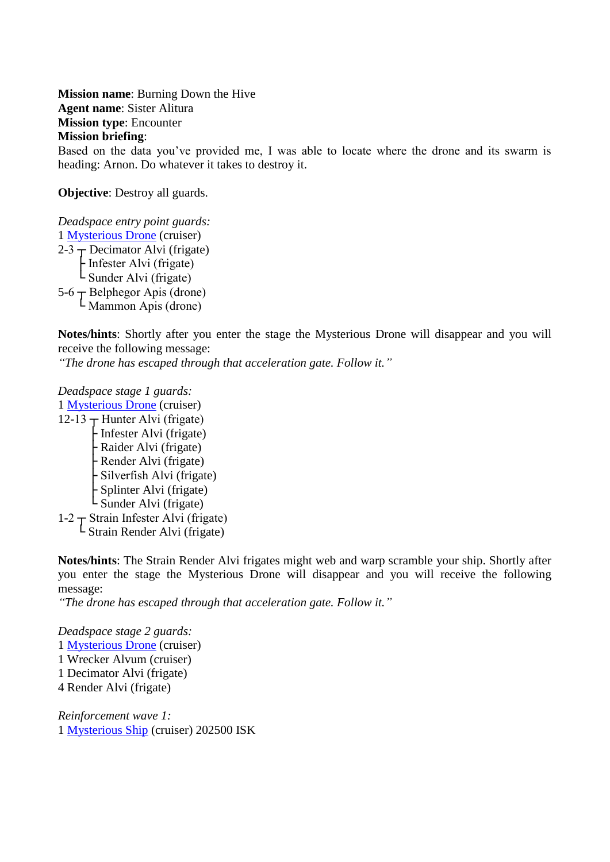<span id="page-18-2"></span><span id="page-18-1"></span><span id="page-18-0"></span>**Mission name**: Burning Down the Hive **Agent name**: Sister Alitura **Mission type**: Encounter **Mission briefing**: Based on the data you've provided me, I was able to locate where the drone and its swarm is heading: Arnon. Do whatever it takes to destroy it.

**Objective**: Destroy all guards.

*Deadspace entry point guards:* 1 [Mysterious Drone](#page-72-3) (cruiser)  $2-3$   $\rightarrow$  Decimator Alvi (frigate) ├ Infester Alvi (frigate) L Sunder Alvi (frigate)  $5-6$   $\overline{\phantom{1}}$  Belphegor Apis (drone) └ Mammon Apis (drone)

**Notes/hints**: Shortly after you enter the stage the Mysterious Drone will disappear and you will receive the following message:

*"The drone has escaped through that acceleration gate. Follow it."*

*Deadspace stage 1 guards:* 1 [Mysterious Drone](#page-72-3) (cruiser)  $12-13$   $\pm$  Hunter Alvi (frigate) ├ Infester Alvi (frigate)

 ├ Raider Alvi (frigate) ├ Render Alvi (frigate) ├ Silverfish Alvi (frigate) ├ Splinter Alvi (frigate)  $\mathsf{L}$  Sunder Alvi (frigate) 1-2  $\tau$  Strain Infester Alvi (frigate)

 $\mathsf{L}$  Strain Render Alvi (frigate)

**Notes/hints**: The Strain Render Alvi frigates might web and warp scramble your ship. Shortly after you enter the stage the Mysterious Drone will disappear and you will receive the following message:

*"The drone has escaped through that acceleration gate. Follow it."*

*Deadspace stage 2 guards:* 1 [Mysterious Drone](#page-72-3) (cruiser) 1 Wrecker Alvum (cruiser) 1 Decimator Alvi (frigate) 4 Render Alvi (frigate)

*Reinforcement wave 1:* 1 [Mysterious Ship](#page-72-4) (cruiser) 202500 ISK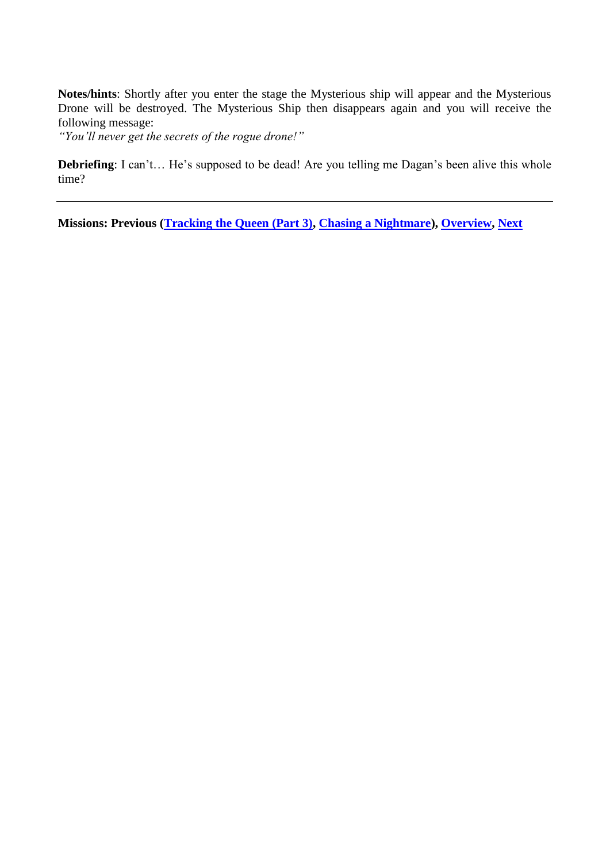**Notes/hints**: Shortly after you enter the stage the Mysterious ship will appear and the Mysterious Drone will be destroyed. The Mysterious Ship then disappears again and you will receive the following message:

*"You'll never get the secrets of the rogue drone!"*

**Debriefing**: I can't... He's supposed to be dead! Are you telling me Dagan's been alive this whole time?

**Missions: Previous [\(Tracking the Queen \(Part 3\),](#page-66-2) [Chasing a Nightmare\)](#page-21-2), [Overview,](#page-5-1) [Next](#page-36-2)**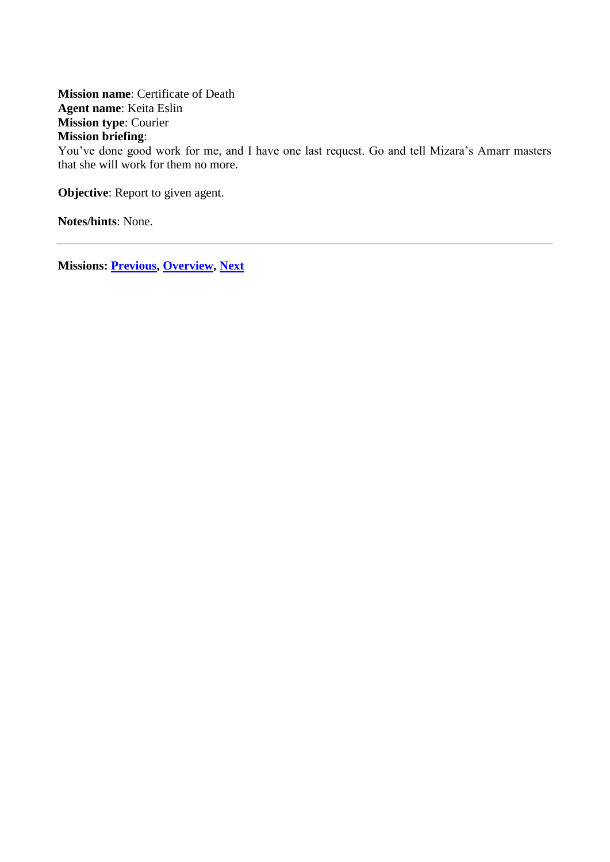<span id="page-20-2"></span><span id="page-20-1"></span><span id="page-20-0"></span>**Mission name**: Certificate of Death **Agent name**: Keita Eslin **Mission type**: Courier **Mission briefing**: You've done good work for me, and I have one last request. Go and tell Mizara's Amarr masters that she will work for them no more.

**Objective:** Report to given agent.

**Notes/hints**: None.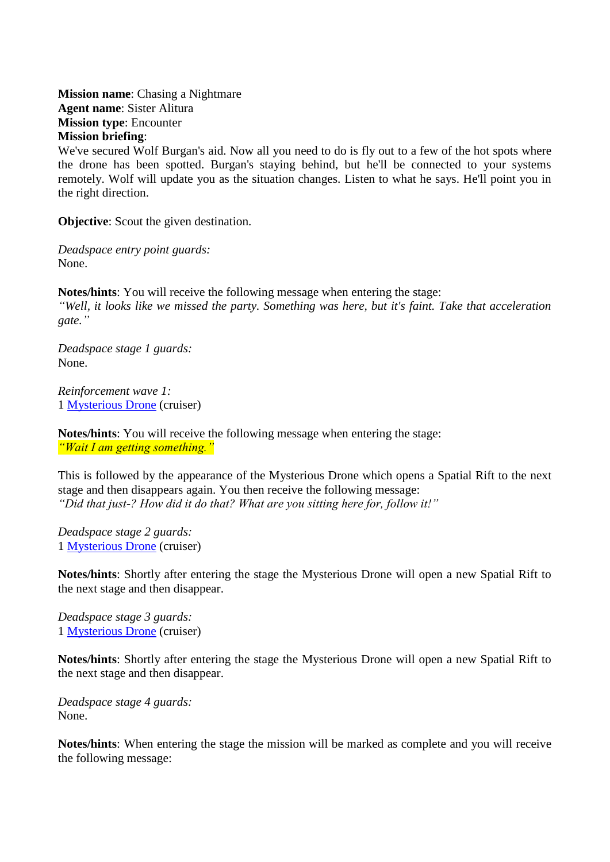<span id="page-21-2"></span><span id="page-21-1"></span><span id="page-21-0"></span>**Mission name**: Chasing a Nightmare **Agent name**: Sister Alitura **Mission type**: Encounter **Mission briefing**:

We've secured Wolf Burgan's aid. Now all you need to do is fly out to a few of the hot spots where the drone has been spotted. Burgan's staying behind, but he'll be connected to your systems remotely. Wolf will update you as the situation changes. Listen to what he says. He'll point you in the right direction.

**Objective:** Scout the given destination.

*Deadspace entry point guards:* None.

**Notes/hints**: You will receive the following message when entering the stage: *"Well, it looks like we missed the party. Something was here, but it's faint. Take that acceleration gate."*

*Deadspace stage 1 guards:* None.

*Reinforcement wave 1:* 1 [Mysterious Drone](#page-72-3) (cruiser)

**Notes/hints**: You will receive the following message when entering the stage: *"Wait I am getting something."*

This is followed by the appearance of the Mysterious Drone which opens a Spatial Rift to the next stage and then disappears again. You then receive the following message: *"Did that just-? How did it do that? What are you sitting here for, follow it!"*

*Deadspace stage 2 guards:* 1 [Mysterious Drone](#page-72-3) (cruiser)

**Notes/hints**: Shortly after entering the stage the Mysterious Drone will open a new Spatial Rift to the next stage and then disappear.

*Deadspace stage 3 guards:* 1 [Mysterious Drone](#page-72-3) (cruiser)

**Notes/hints**: Shortly after entering the stage the Mysterious Drone will open a new Spatial Rift to the next stage and then disappear.

*Deadspace stage 4 guards:* None.

**Notes/hints**: When entering the stage the mission will be marked as complete and you will receive the following message: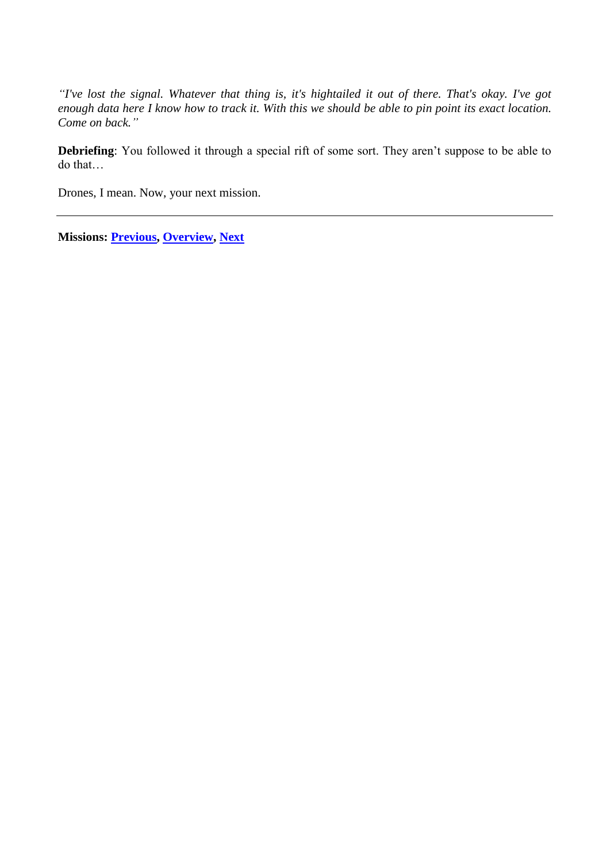*"I've lost the signal. Whatever that thing is, it's hightailed it out of there. That's okay. I've got enough data here I know how to track it. With this we should be able to pin point its exact location. Come on back."*

**Debriefing**: You followed it through a special rift of some sort. They aren't suppose to be able to do that…

Drones, I mean. Now, your next mission.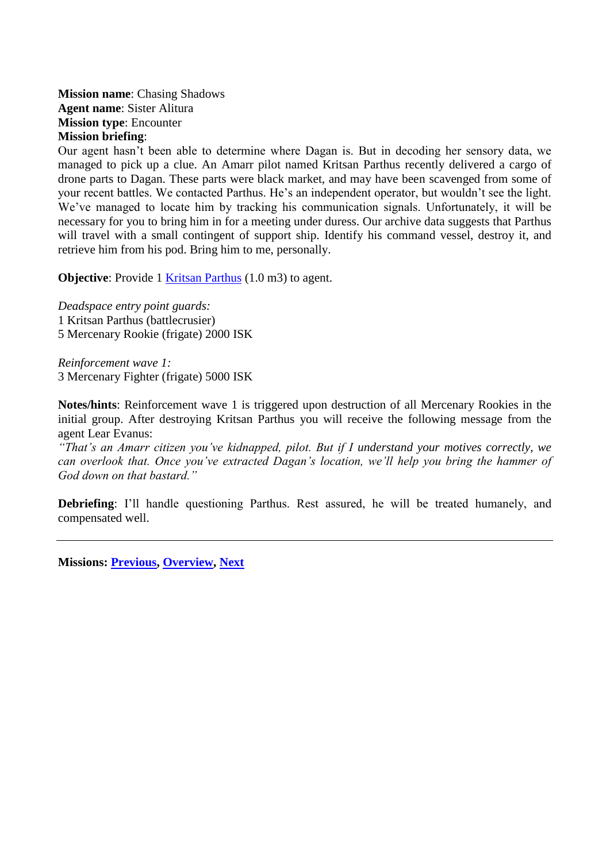<span id="page-23-1"></span><span id="page-23-0"></span>**Mission name**: Chasing Shadows **Agent name**: Sister Alitura **Mission type**: Encounter **Mission briefing**:

Our agent hasn't been able to determine where Dagan is. But in decoding her sensory data, we managed to pick up a clue. An Amarr pilot named Kritsan Parthus recently delivered a cargo of drone parts to Dagan. These parts were black market, and may have been scavenged from some of your recent battles. We contacted Parthus. He's an independent operator, but wouldn't see the light. We've managed to locate him by tracking his communication signals. Unfortunately, it will be necessary for you to bring him in for a meeting under duress. Our archive data suggests that Parthus will travel with a small contingent of support ship. Identify his command vessel, destroy it, and retrieve him from his pod. Bring him to me, personally.

**Objective:** Provide 1 [Kritsan Parthus](#page-72-0) (1.0 m3) to agent.

*Deadspace entry point guards:*

1 Kritsan Parthus (battlecrusier)

5 Mercenary Rookie (frigate) 2000 ISK

*Reinforcement wave 1:* 3 Mercenary Fighter (frigate) 5000 ISK

**Notes/hints**: Reinforcement wave 1 is triggered upon destruction of all Mercenary Rookies in the initial group. After destroying Kritsan Parthus you will receive the following message from the agent Lear Evanus:

*"That's an Amarr citizen you've kidnapped, pilot. But if I understand your motives correctly, we can overlook that. Once you've extracted Dagan's location, we'll help you bring the hammer of God down on that bastard."*

**Debriefing**: I'll handle questioning Parthus. Rest assured, he will be treated humanely, and compensated well.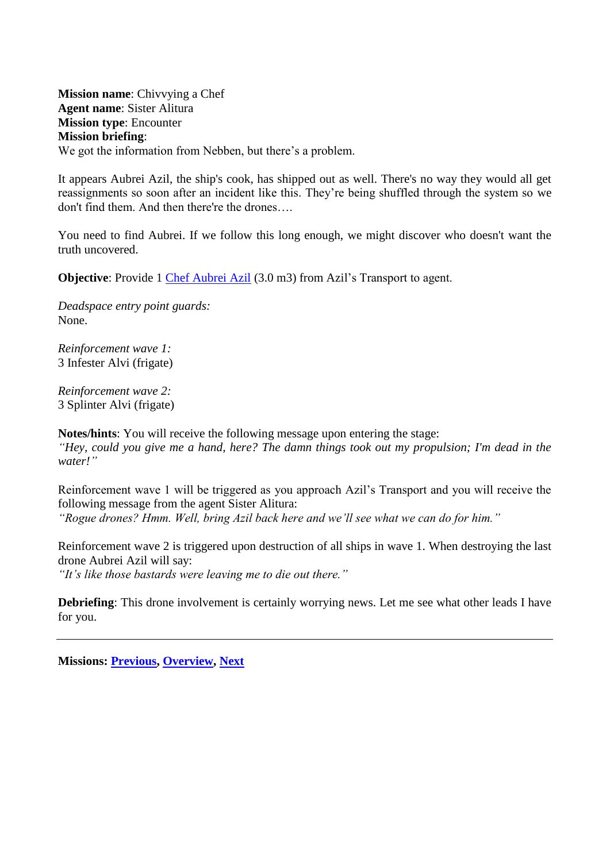<span id="page-24-2"></span><span id="page-24-1"></span><span id="page-24-0"></span>**Mission name**: Chivvying a Chef **Agent name**: Sister Alitura **Mission type**: Encounter **Mission briefing**: We got the information from Nebben, but there's a problem.

It appears Aubrei Azil, the ship's cook, has shipped out as well. There's no way they would all get reassignments so soon after an incident like this. They're being shuffled through the system so we don't find them. And then there're the drones….

You need to find Aubrei. If we follow this long enough, we might discover who doesn't want the truth uncovered.

**Objective**: Provide 1 [Chef Aubrei Azil](#page-69-6) (3.0 m3) from Azil's Transport to agent.

*Deadspace entry point guards:* None.

*Reinforcement wave 1:* 3 Infester Alvi (frigate)

*Reinforcement wave 2:* 3 Splinter Alvi (frigate)

**Notes/hints**: You will receive the following message upon entering the stage: *"Hey, could you give me a hand, here? The damn things took out my propulsion; I'm dead in the water!"*

Reinforcement wave 1 will be triggered as you approach Azil's Transport and you will receive the following message from the agent Sister Alitura: *"Rogue drones? Hmm. Well, bring Azil back here and we'll see what we can do for him."*

Reinforcement wave 2 is triggered upon destruction of all ships in wave 1. When destroying the last drone Aubrei Azil will say:

*"It's like those bastards were leaving me to die out there."*

**Debriefing**: This drone involvement is certainly worrying news. Let me see what other leads I have for you.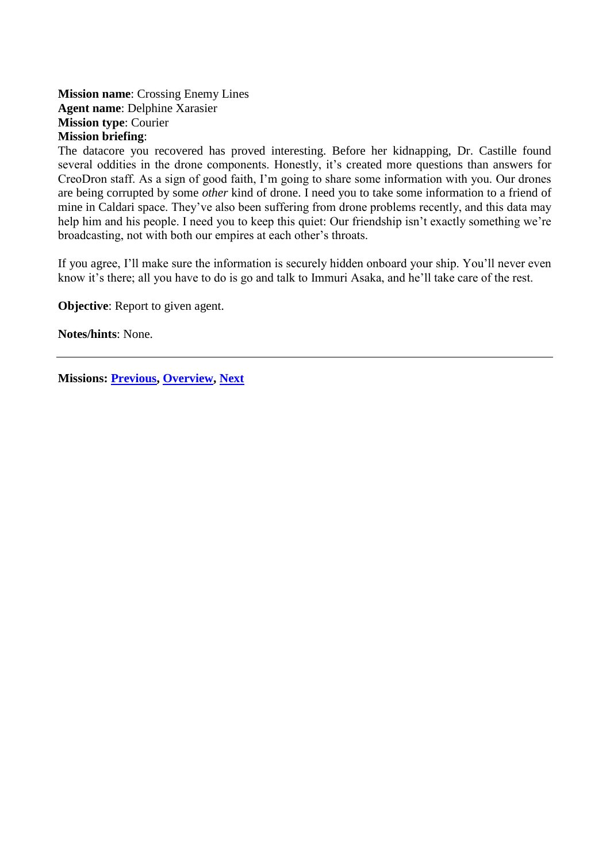### <span id="page-25-2"></span><span id="page-25-1"></span><span id="page-25-0"></span>**Mission name**: Crossing Enemy Lines **Agent name**: Delphine Xarasier **Mission type**: Courier **Mission briefing**:

The datacore you recovered has proved interesting. Before her kidnapping, Dr. Castille found several oddities in the drone components. Honestly, it's created more questions than answers for CreoDron staff. As a sign of good faith, I'm going to share some information with you. Our drones are being corrupted by some *other* kind of drone. I need you to take some information to a friend of mine in Caldari space. They've also been suffering from drone problems recently, and this data may help him and his people. I need you to keep this quiet: Our friendship isn't exactly something we're broadcasting, not with both our empires at each other's throats.

If you agree, I'll make sure the information is securely hidden onboard your ship. You'll never even know it's there; all you have to do is go and talk to Immuri Asaka, and he'll take care of the rest.

**Objective:** Report to given agent.

**Notes/hints**: None.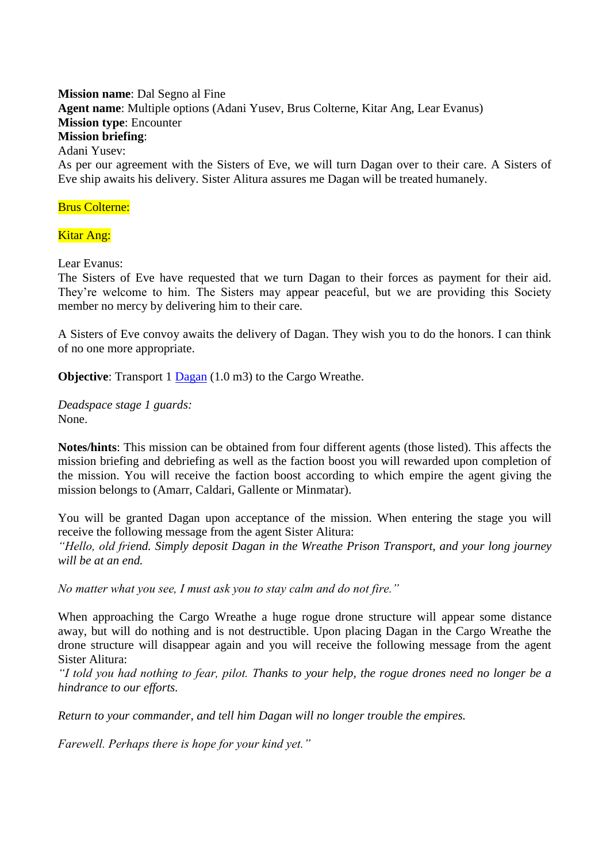<span id="page-26-2"></span><span id="page-26-1"></span><span id="page-26-0"></span>**Mission name**: Dal Segno al Fine **Agent name**: Multiple options (Adani Yusev, Brus Colterne, Kitar Ang, Lear Evanus) **Mission type**: Encounter **Mission briefing**: Adani Yusev:

As per our agreement with the Sisters of Eve, we will turn Dagan over to their care. A Sisters of Eve ship awaits his delivery. Sister Alitura assures me Dagan will be treated humanely.

#### Brus Colterne:

#### **Kitar Ang:**

Lear Evanus:

The Sisters of Eve have requested that we turn Dagan to their forces as payment for their aid. They're welcome to him. The Sisters may appear peaceful, but we are providing this Society member no mercy by delivering him to their care.

A Sisters of Eve convoy awaits the delivery of Dagan. They wish you to do the honors. I can think of no one more appropriate.

**Objective:** Transport 1 [Dagan](#page-70-2) (1.0 m3) to the Cargo Wreathe.

*Deadspace stage 1 guards:* None.

**Notes/hints**: This mission can be obtained from four different agents (those listed). This affects the mission briefing and debriefing as well as the faction boost you will rewarded upon completion of the mission. You will receive the faction boost according to which empire the agent giving the mission belongs to (Amarr, Caldari, Gallente or Minmatar).

You will be granted Dagan upon acceptance of the mission. When entering the stage you will receive the following message from the agent Sister Alitura:

*"Hello, old friend. Simply deposit Dagan in the Wreathe Prison Transport, and your long journey will be at an end.*

*No matter what you see, I must ask you to stay calm and do not fire."*

When approaching the Cargo Wreathe a huge rogue drone structure will appear some distance away, but will do nothing and is not destructible. Upon placing Dagan in the Cargo Wreathe the drone structure will disappear again and you will receive the following message from the agent Sister Alitura:

*"I told you had nothing to fear, pilot. Thanks to your help, the rogue drones need no longer be a hindrance to our efforts.*

*Return to your commander, and tell him Dagan will no longer trouble the empires.*

*Farewell. Perhaps there is hope for your kind yet."*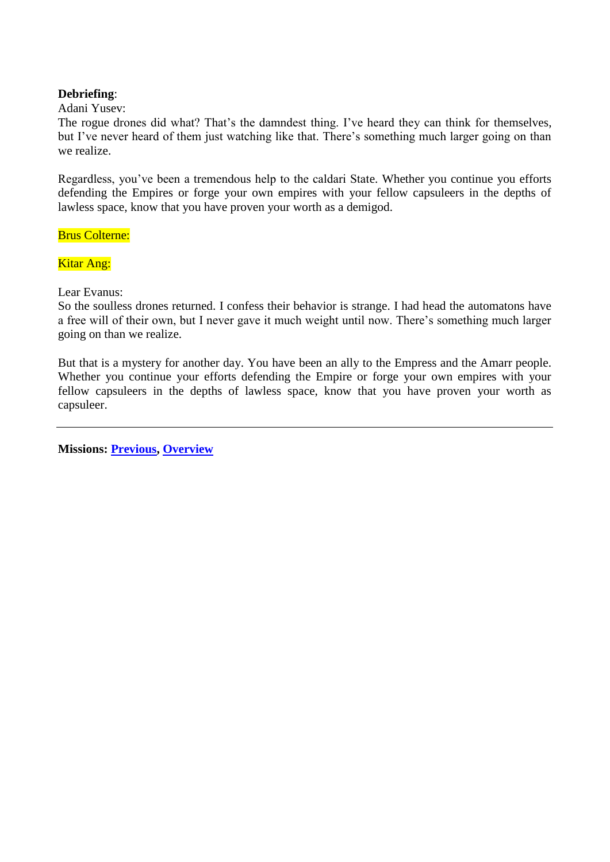#### **Debriefing**:

Adani Yusev:

The rogue drones did what? That's the damndest thing. I've heard they can think for themselves, but I've never heard of them just watching like that. There's something much larger going on than we realize.

Regardless, you've been a tremendous help to the caldari State. Whether you continue you efforts defending the Empires or forge your own empires with your fellow capsuleers in the depths of lawless space, know that you have proven your worth as a demigod.

Brus Colterne:

Kitar Ang:

Lear Evanus:

So the soulless drones returned. I confess their behavior is strange. I had head the automatons have a free will of their own, but I never gave it much weight until now. There's something much larger going on than we realize.

But that is a mystery for another day. You have been an ally to the Empress and the Amarr people. Whether you continue your efforts defending the Empire or forge your own empires with your fellow capsuleers in the depths of lawless space, know that you have proven your worth as capsuleer.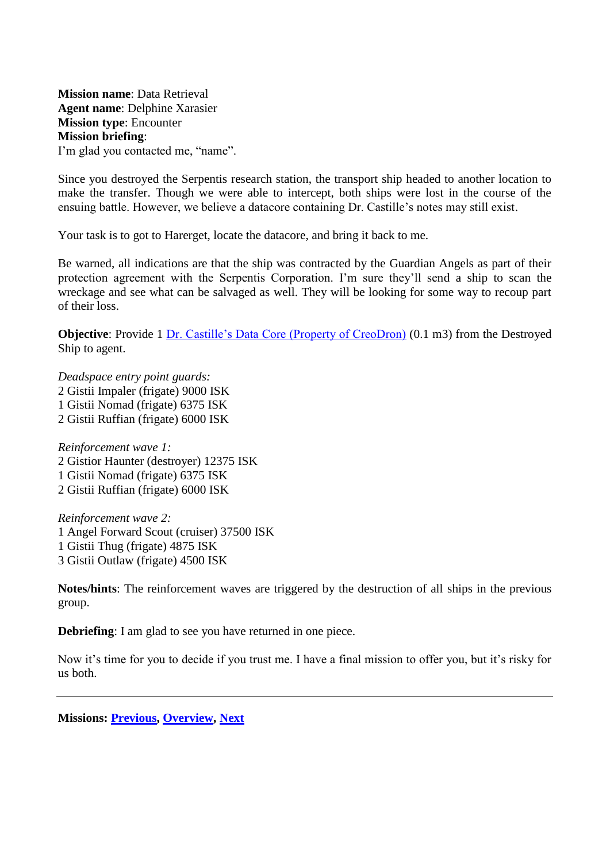<span id="page-28-2"></span><span id="page-28-1"></span><span id="page-28-0"></span>**Mission name**: Data Retrieval **Agent name**: Delphine Xarasier **Mission type**: Encounter **Mission briefing**: I'm glad you contacted me, "name".

Since you destroyed the Serpentis research station, the transport ship headed to another location to make the transfer. Though we were able to intercept, both ships were lost in the course of the ensuing battle. However, we believe a datacore containing Dr. Castille's notes may still exist.

Your task is to got to Harerget, locate the datacore, and bring it back to me.

Be warned, all indications are that the ship was contracted by the Guardian Angels as part of their protection agreement with the Serpentis Corporation. I'm sure they'll send a ship to scan the wreckage and see what can be salvaged as well. They will be looking for some way to recoup part of their loss.

**Objective:** Provide 1 [Dr. Castille's Data Core \(Property of CreoDron\)](#page-70-4) (0.1 m3) from the Destroyed Ship to agent.

*Deadspace entry point guards:* 2 Gistii Impaler (frigate) 9000 ISK 1 Gistii Nomad (frigate) 6375 ISK 2 Gistii Ruffian (frigate) 6000 ISK

*Reinforcement wave 1:* 2 Gistior Haunter (destroyer) 12375 ISK 1 Gistii Nomad (frigate) 6375 ISK 2 Gistii Ruffian (frigate) 6000 ISK

*Reinforcement wave 2:* 1 Angel Forward Scout (cruiser) 37500 ISK 1 Gistii Thug (frigate) 4875 ISK 3 Gistii Outlaw (frigate) 4500 ISK

**Notes/hints**: The reinforcement waves are triggered by the destruction of all ships in the previous group.

**Debriefing**: I am glad to see you have returned in one piece.

Now it's time for you to decide if you trust me. I have a final mission to offer you, but it's risky for us both.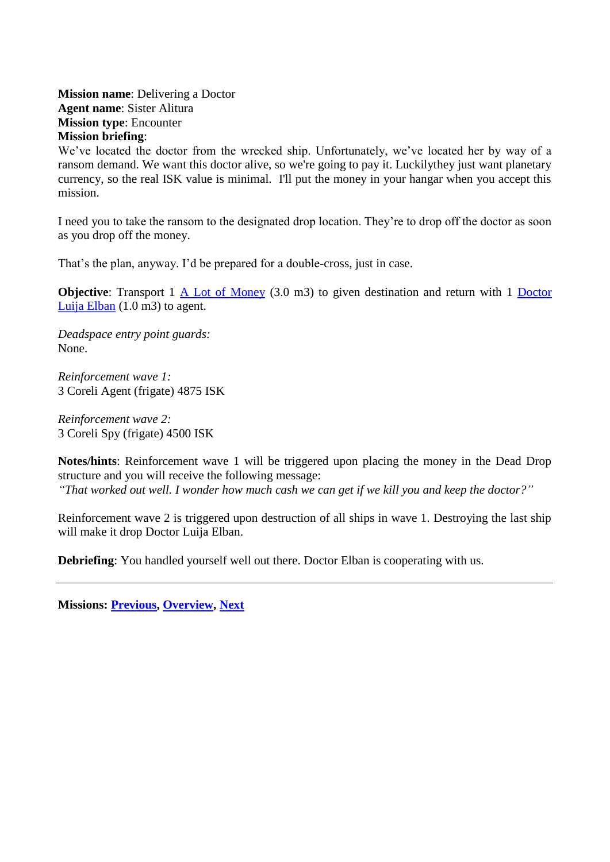<span id="page-29-2"></span><span id="page-29-1"></span><span id="page-29-0"></span>**Mission name**: Delivering a Doctor **Agent name**: Sister Alitura **Mission type**: Encounter **Mission briefing**:

We've located the doctor from the wrecked ship. Unfortunately, we've located her by way of a ransom demand. We want this doctor alive, so we're going to pay it. Luckilythey just want planetary currency, so the real ISK value is minimal. I'll put the money in your hangar when you accept this mission.

I need you to take the ransom to the designated drop location. They're to drop off the doctor as soon as you drop off the money.

That's the plan, anyway. I'd be prepared for a double-cross, just in case.

**Objective**: Transport 1 [A Lot of Money](#page-69-1) (3.0 m3) to given destination and return with 1 Doctor [Luija Elban](#page-69-7) (1.0 m3) to agent.

*Deadspace entry point guards:* None.

*Reinforcement wave 1:* 3 Coreli Agent (frigate) 4875 ISK

*Reinforcement wave 2:* 3 Coreli Spy (frigate) 4500 ISK

**Notes/hints**: Reinforcement wave 1 will be triggered upon placing the money in the Dead Drop structure and you will receive the following message: *"That worked out well. I wonder how much cash we can get if we kill you and keep the doctor?"*

Reinforcement wave 2 is triggered upon destruction of all ships in wave 1. Destroying the last ship will make it drop Doctor Luija Elban.

**Debriefing**: You handled yourself well out there. Doctor Elban is cooperating with us.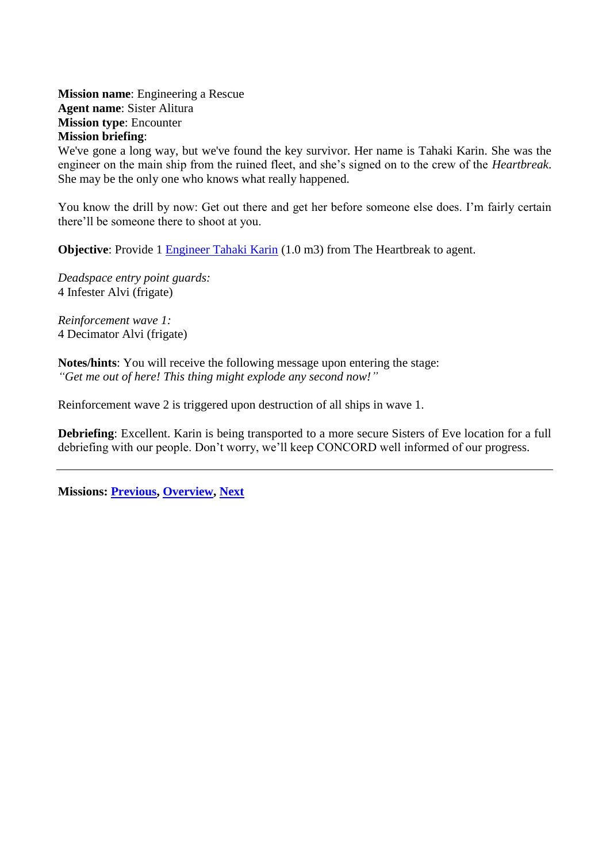<span id="page-30-2"></span><span id="page-30-1"></span><span id="page-30-0"></span>**Mission name**: Engineering a Rescue **Agent name**: Sister Alitura **Mission type**: Encounter **Mission briefing**:

We've gone a long way, but we've found the key survivor. Her name is Tahaki Karin. She was the engineer on the main ship from the ruined fleet, and she's signed on to the crew of the *Heartbreak*. She may be the only one who knows what really happened.

You know the drill by now: Get out there and get her before someone else does. I'm fairly certain there'll be someone there to shoot at you.

**Objective**: Provide 1 [Engineer Tahaki Karin](#page-70-7) (1.0 m3) from The Heartbreak to agent.

*Deadspace entry point guards:* 4 Infester Alvi (frigate)

*Reinforcement wave 1:* 4 Decimator Alvi (frigate)

**Notes/hints**: You will receive the following message upon entering the stage: *"Get me out of here! This thing might explode any second now!"*

Reinforcement wave 2 is triggered upon destruction of all ships in wave 1.

**Debriefing**: Excellent. Karin is being transported to a more secure Sisters of Eve location for a full debriefing with our people. Don't worry, we'll keep CONCORD well informed of our progress.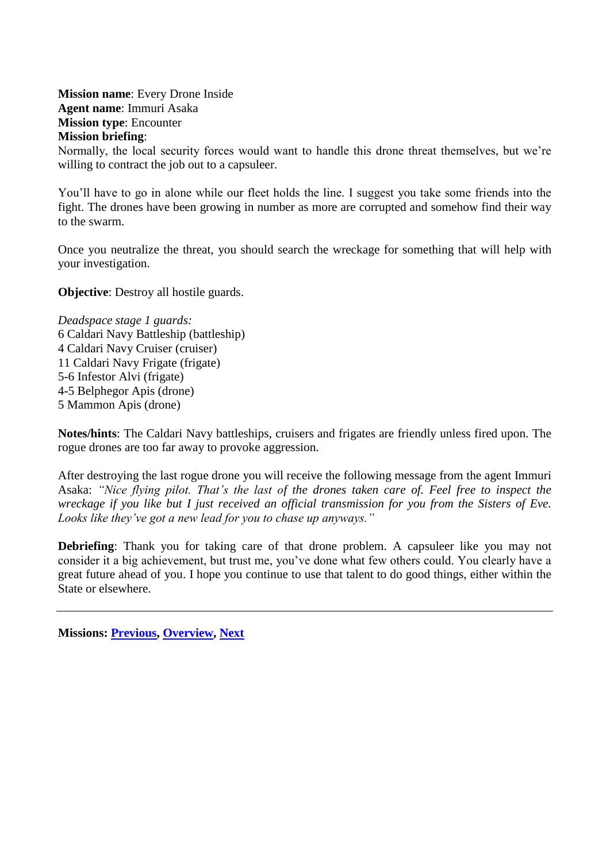<span id="page-31-2"></span><span id="page-31-1"></span><span id="page-31-0"></span>**Mission name**: Every Drone Inside **Agent name**: Immuri Asaka **Mission type**: Encounter **Mission briefing**:

Normally, the local security forces would want to handle this drone threat themselves, but we're willing to contract the job out to a capsuleer.

You'll have to go in alone while our fleet holds the line. I suggest you take some friends into the fight. The drones have been growing in number as more are corrupted and somehow find their way to the swarm.

Once you neutralize the threat, you should search the wreckage for something that will help with your investigation.

**Objective**: Destroy all hostile guards.

*Deadspace stage 1 guards:* 6 Caldari Navy Battleship (battleship) 4 Caldari Navy Cruiser (cruiser) 11 Caldari Navy Frigate (frigate) 5-6 Infestor Alvi (frigate) 4-5 Belphegor Apis (drone) 5 Mammon Apis (drone)

**Notes/hints**: The Caldari Navy battleships, cruisers and frigates are friendly unless fired upon. The rogue drones are too far away to provoke aggression.

After destroying the last rogue drone you will receive the following message from the agent Immuri Asaka: *"Nice flying pilot. That's the last of the drones taken care of. Feel free to inspect the wreckage if you like but I just received an official transmission for you from the Sisters of Eve. Looks like they've got a new lead for you to chase up anyways."*

**Debriefing**: Thank you for taking care of that drone problem. A capsuleer like you may not consider it a big achievement, but trust me, you've done what few others could. You clearly have a great future ahead of you. I hope you continue to use that talent to do good things, either within the State or elsewhere.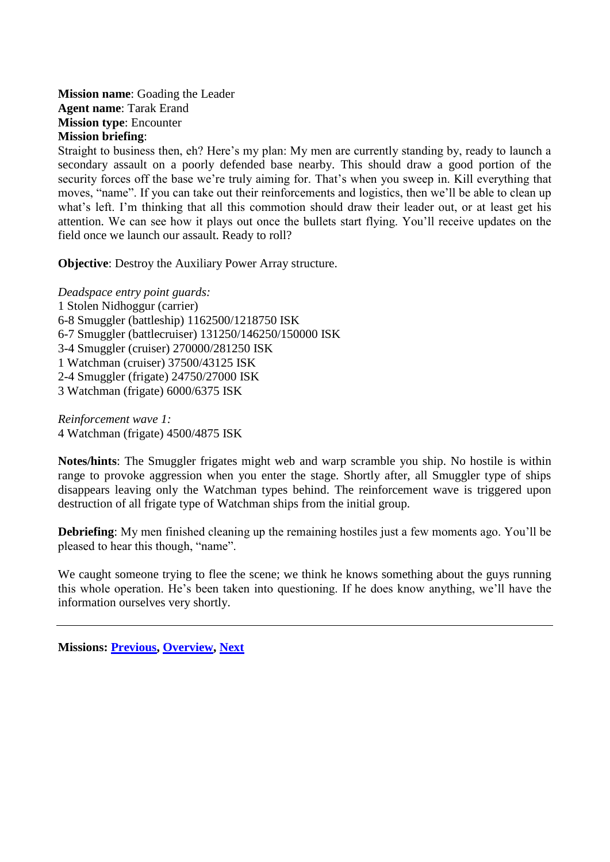<span id="page-32-2"></span><span id="page-32-1"></span><span id="page-32-0"></span>**Mission name**: Goading the Leader **Agent name**: Tarak Erand **Mission type**: Encounter **Mission briefing**:

Straight to business then, eh? Here's my plan: My men are currently standing by, ready to launch a secondary assault on a poorly defended base nearby. This should draw a good portion of the security forces off the base we're truly aiming for. That's when you sweep in. Kill everything that moves, "name". If you can take out their reinforcements and logistics, then we'll be able to clean up what's left. I'm thinking that all this commotion should draw their leader out, or at least get his attention. We can see how it plays out once the bullets start flying. You'll receive updates on the field once we launch our assault. Ready to roll?

**Objective:** Destroy the Auxiliary Power Array structure.

*Deadspace entry point guards:* 1 Stolen Nidhoggur (carrier) 6-8 Smuggler (battleship) 1162500/1218750 ISK 6-7 Smuggler (battlecruiser) 131250/146250/150000 ISK 3-4 Smuggler (cruiser) 270000/281250 ISK 1 Watchman (cruiser) 37500/43125 ISK 2-4 Smuggler (frigate) 24750/27000 ISK 3 Watchman (frigate) 6000/6375 ISK

*Reinforcement wave 1:* 4 Watchman (frigate) 4500/4875 ISK

**Notes/hints**: The Smuggler frigates might web and warp scramble you ship. No hostile is within range to provoke aggression when you enter the stage. Shortly after, all Smuggler type of ships disappears leaving only the Watchman types behind. The reinforcement wave is triggered upon destruction of all frigate type of Watchman ships from the initial group.

**Debriefing**: My men finished cleaning up the remaining hostiles just a few moments ago. You'll be pleased to hear this though, "name".

We caught someone trying to flee the scene; we think he knows something about the guys running this whole operation. He's been taken into questioning. If he does know anything, we'll have the information ourselves very shortly.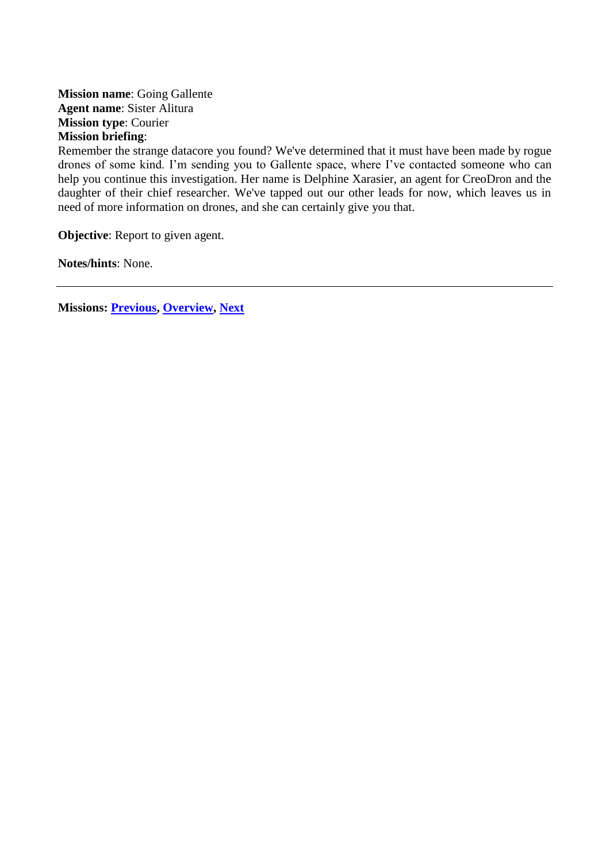<span id="page-33-2"></span><span id="page-33-1"></span><span id="page-33-0"></span>**Mission name**: Going Gallente **Agent name**: Sister Alitura **Mission type**: Courier **Mission briefing**:

Remember the strange datacore you found? We've determined that it must have been made by rogue drones of some kind. I'm sending you to Gallente space, where I've contacted someone who can help you continue this investigation. Her name is Delphine Xarasier, an agent for CreoDron and the daughter of their chief researcher. We've tapped out our other leads for now, which leaves us in need of more information on drones, and she can certainly give you that.

**Objective:** Report to given agent.

**Notes/hints**: None.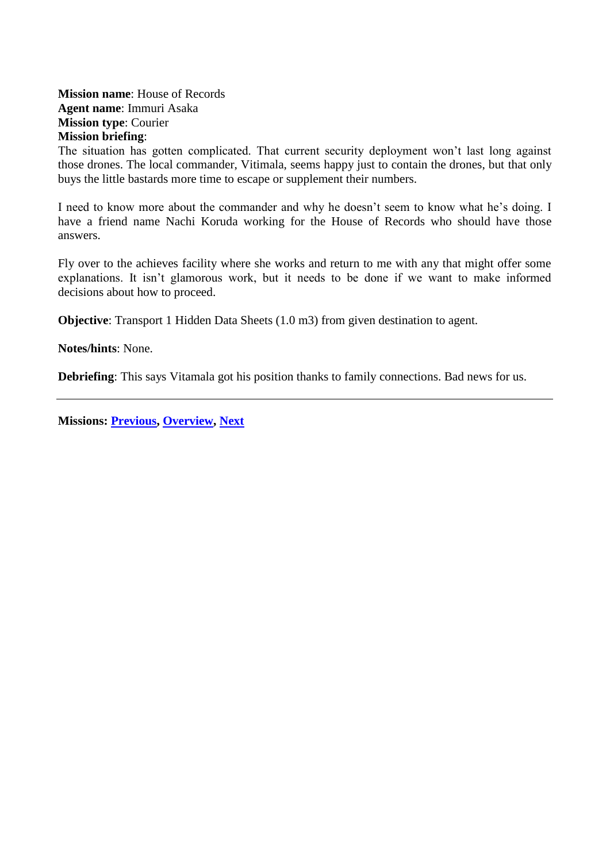### <span id="page-34-1"></span><span id="page-34-0"></span>**Mission name**: House of Records **Agent name**: Immuri Asaka **Mission type**: Courier **Mission briefing**:

The situation has gotten complicated. That current security deployment won't last long against those drones. The local commander, Vitimala, seems happy just to contain the drones, but that only buys the little bastards more time to escape or supplement their numbers.

I need to know more about the commander and why he doesn't seem to know what he's doing. I have a friend name Nachi Koruda working for the House of Records who should have those answers.

Fly over to the achieves facility where she works and return to me with any that might offer some explanations. It isn't glamorous work, but it needs to be done if we want to make informed decisions about how to proceed.

**Objective**: Transport 1 Hidden Data Sheets (1.0 m3) from given destination to agent.

**Notes/hints**: None.

**Debriefing**: This says Vitamala got his position thanks to family connections. Bad news for us.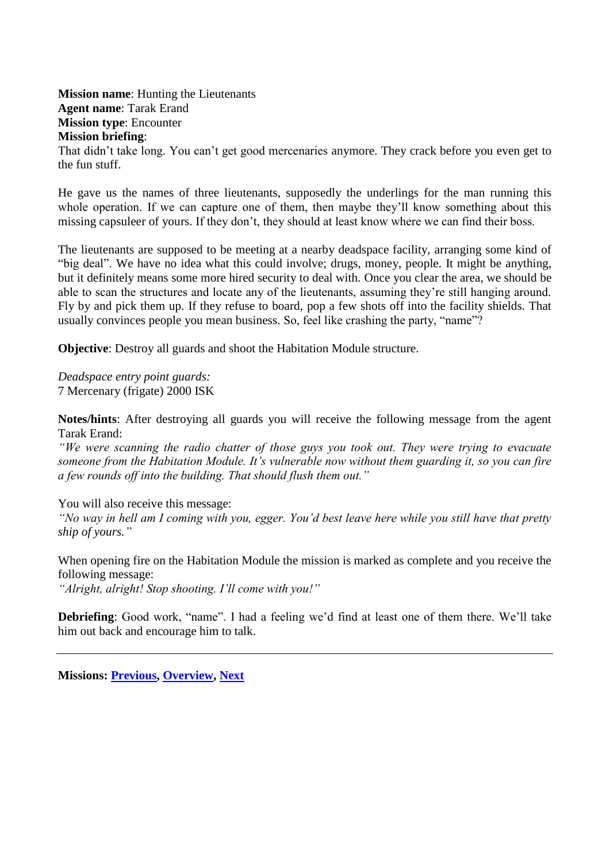<span id="page-35-2"></span><span id="page-35-1"></span><span id="page-35-0"></span>**Mission name**: Hunting the Lieutenants **Agent name**: Tarak Erand **Mission type**: Encounter **Mission briefing**:

That didn't take long. You can't get good mercenaries anymore. They crack before you even get to the fun stuff.

He gave us the names of three lieutenants, supposedly the underlings for the man running this whole operation. If we can capture one of them, then maybe they'll know something about this missing capsuleer of yours. If they don't, they should at least know where we can find their boss.

The lieutenants are supposed to be meeting at a nearby deadspace facility, arranging some kind of "big deal". We have no idea what this could involve; drugs, money, people. It might be anything, but it definitely means some more hired security to deal with. Once you clear the area, we should be able to scan the structures and locate any of the lieutenants, assuming they're still hanging around. Fly by and pick them up. If they refuse to board, pop a few shots off into the facility shields. That usually convinces people you mean business. So, feel like crashing the party, "name"?

**Objective**: Destroy all guards and shoot the Habitation Module structure.

*Deadspace entry point guards:* 7 Mercenary (frigate) 2000 ISK

**Notes/hints**: After destroying all guards you will receive the following message from the agent Tarak Erand:

*"We were scanning the radio chatter of those guys you took out. They were trying to evacuate someone from the Habitation Module. It's vulnerable now without them guarding it, so you can fire a few rounds off into the building. That should flush them out."*

You will also receive this message:

*"No way in hell am I coming with you, egger. You'd best leave here while you still have that pretty ship of yours."*

When opening fire on the Habitation Module the mission is marked as complete and you receive the following message: *"Alright, alright! Stop shooting. I'll come with you!"*

**Debriefing**: Good work, "name". I had a feeling we'd find at least one of them there. We'll take him out back and encourage him to talk.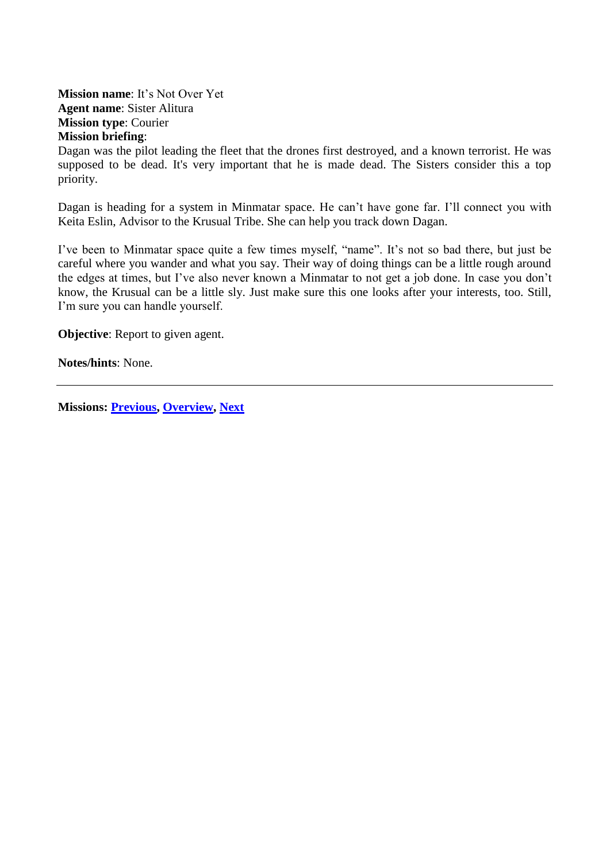**Mission name**: It's Not Over Yet **Agent name**: Sister Alitura **Mission type**: Courier **Mission briefing**:

Dagan was the pilot leading the fleet that the drones first destroyed, and a known terrorist. He was supposed to be dead. It's very important that he is made dead. The Sisters consider this a top priority.

Dagan is heading for a system in Minmatar space. He can't have gone far. I'll connect you with Keita Eslin, Advisor to the Krusual Tribe. She can help you track down Dagan.

I've been to Minmatar space quite a few times myself, "name". It's not so bad there, but just be careful where you wander and what you say. Their way of doing things can be a little rough around the edges at times, but I've also never known a Minmatar to not get a job done. In case you don't know, the Krusual can be a little sly. Just make sure this one looks after your interests, too. Still, I'm sure you can handle yourself.

**Objective:** Report to given agent.

**Notes/hints**: None.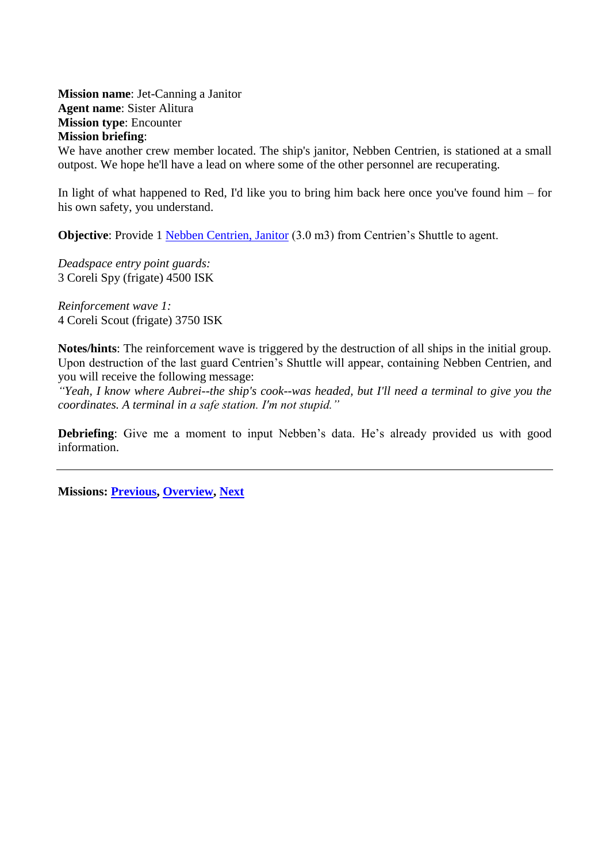<span id="page-37-0"></span>**Mission name**: Jet-Canning a Janitor **Agent name**: Sister Alitura **Mission type**: Encounter **Mission briefing**:

We have another crew member located. The ship's janitor, Nebben Centrien, is stationed at a small outpost. We hope he'll have a lead on where some of the other personnel are recuperating.

In light of what happened to Red, I'd like you to bring him back here once you've found him – for his own safety, you understand.

**Objective:** Provide 1 [Nebben Centrien, Janitor](#page-73-0) (3.0 m3) from Centrien's Shuttle to agent.

*Deadspace entry point guards:* 3 Coreli Spy (frigate) 4500 ISK

*Reinforcement wave 1:* 4 Coreli Scout (frigate) 3750 ISK

**Notes/hints**: The reinforcement wave is triggered by the destruction of all ships in the initial group. Upon destruction of the last guard Centrien's Shuttle will appear, containing Nebben Centrien, and you will receive the following message:

*"Yeah, I know where Aubrei--the ship's cook--was headed, but I'll need a terminal to give you the coordinates. A terminal in a safe station. I'm not stupid."*

**Debriefing**: Give me a moment to input Nebben's data. He's already provided us with good information.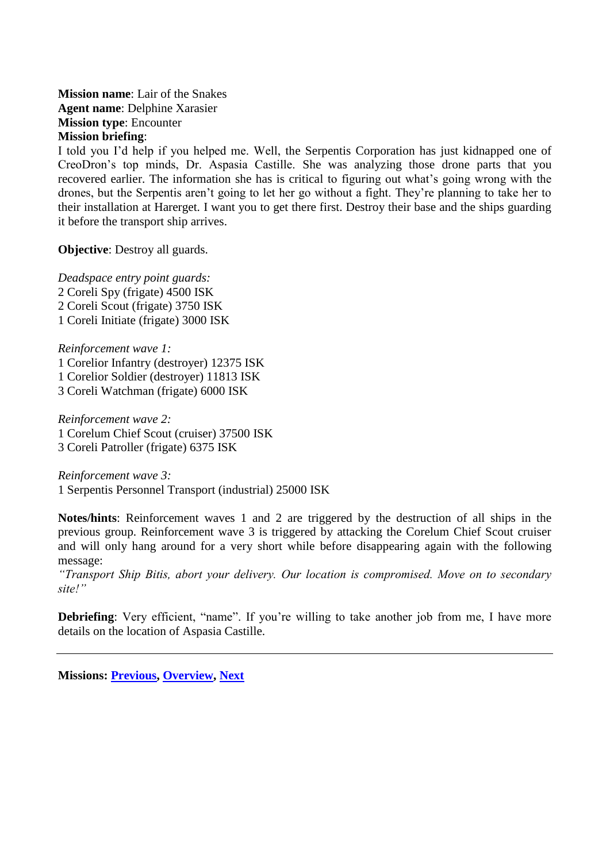<span id="page-38-0"></span>**Mission name**: Lair of the Snakes **Agent name**: Delphine Xarasier **Mission type**: Encounter **Mission briefing**:

I told you I'd help if you helped me. Well, the Serpentis Corporation has just kidnapped one of CreoDron's top minds, Dr. Aspasia Castille. She was analyzing those drone parts that you recovered earlier. The information she has is critical to figuring out what's going wrong with the drones, but the Serpentis aren't going to let her go without a fight. They're planning to take her to their installation at Harerget. I want you to get there first. Destroy their base and the ships guarding it before the transport ship arrives.

**Objective**: Destroy all guards.

*Deadspace entry point guards:* 2 Coreli Spy (frigate) 4500 ISK 2 Coreli Scout (frigate) 3750 ISK 1 Coreli Initiate (frigate) 3000 ISK

*Reinforcement wave 1:* 1 Corelior Infantry (destroyer) 12375 ISK 1 Corelior Soldier (destroyer) 11813 ISK 3 Coreli Watchman (frigate) 6000 ISK

*Reinforcement wave 2:* 1 Corelum Chief Scout (cruiser) 37500 ISK 3 Coreli Patroller (frigate) 6375 ISK

*Reinforcement wave 3:* 1 Serpentis Personnel Transport (industrial) 25000 ISK

**Notes/hints**: Reinforcement waves 1 and 2 are triggered by the destruction of all ships in the previous group. Reinforcement wave 3 is triggered by attacking the Corelum Chief Scout cruiser and will only hang around for a very short while before disappearing again with the following message:

*"Transport Ship Bitis, abort your delivery. Our location is compromised. Move on to secondary site!"*

**Debriefing**: Very efficient, "name". If you're willing to take another job from me, I have more details on the location of Aspasia Castille.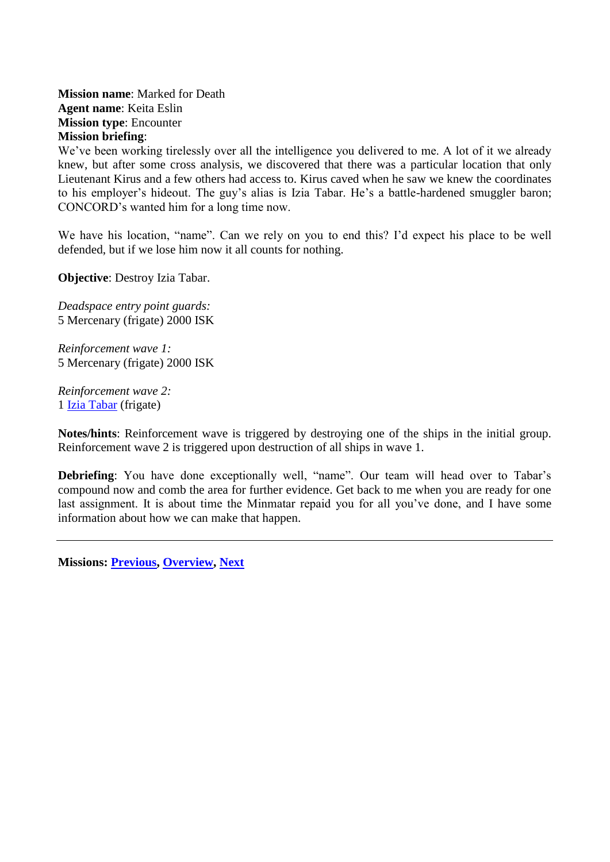<span id="page-39-0"></span>**Mission name**: Marked for Death **Agent name**: Keita Eslin **Mission type**: Encounter **Mission briefing**:

We've been working tirelessly over all the intelligence you delivered to me. A lot of it we already knew, but after some cross analysis, we discovered that there was a particular location that only Lieutenant Kirus and a few others had access to. Kirus caved when he saw we knew the coordinates to his employer's hideout. The guy's alias is Izia Tabar. He's a battle-hardened smuggler baron; CONCORD's wanted him for a long time now.

We have his location, "name". Can we rely on you to end this? I'd expect his place to be well defended, but if we lose him now it all counts for nothing.

**Objective**: Destroy Izia Tabar.

*Deadspace entry point guards:* 5 Mercenary (frigate) 2000 ISK

*Reinforcement wave 1:* 5 Mercenary (frigate) 2000 ISK

*Reinforcement wave 2:* 1 [Izia Tabar](#page-71-0) (frigate)

**Notes/hints**: Reinforcement wave is triggered by destroying one of the ships in the initial group. Reinforcement wave 2 is triggered upon destruction of all ships in wave 1.

**Debriefing**: You have done exceptionally well, "name". Our team will head over to Tabar's compound now and comb the area for further evidence. Get back to me when you are ready for one last assignment. It is about time the Minmatar repaid you for all you've done, and I have some information about how we can make that happen.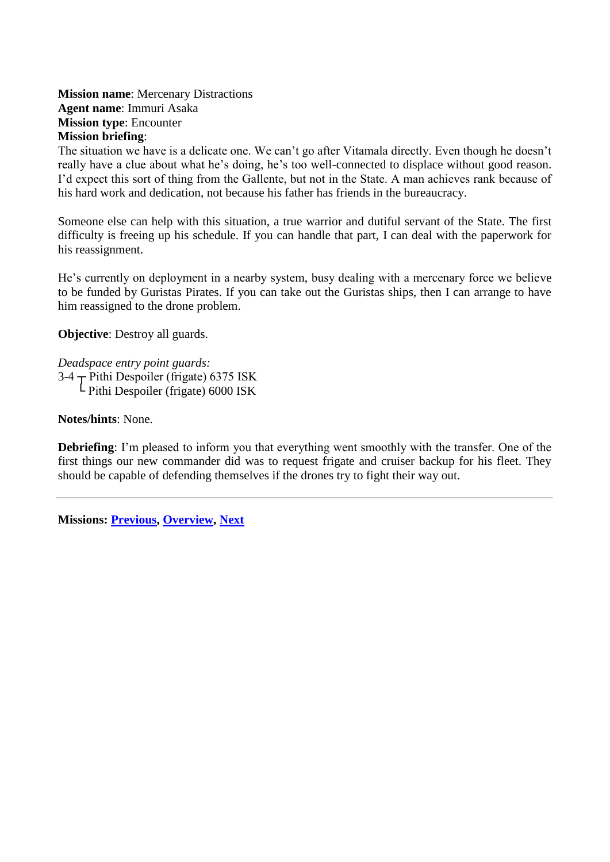**Mission name**: Mercenary Distractions **Agent name**: Immuri Asaka **Mission type**: Encounter **Mission briefing**:

The situation we have is a delicate one. We can't go after Vitamala directly. Even though he doesn't really have a clue about what he's doing, he's too well-connected to displace without good reason. I'd expect this sort of thing from the Gallente, but not in the State. A man achieves rank because of his hard work and dedication, not because his father has friends in the bureaucracy.

Someone else can help with this situation, a true warrior and dutiful servant of the State. The first difficulty is freeing up his schedule. If you can handle that part, I can deal with the paperwork for his reassignment.

He's currently on deployment in a nearby system, busy dealing with a mercenary force we believe to be funded by Guristas Pirates. If you can take out the Guristas ships, then I can arrange to have him reassigned to the drone problem.

**Objective**: Destroy all guards.

*Deadspace entry point guards:*  $3-4$   $\overline{T}$  Pithi Despoiler (frigate) 6375 ISK └ Pithi Despoiler (frigate) 6000 ISK

**Notes/hints**: None.

**Debriefing**: I'm pleased to inform you that everything went smoothly with the transfer. One of the first things our new commander did was to request frigate and cruiser backup for his fleet. They should be capable of defending themselves if the drones try to fight their way out.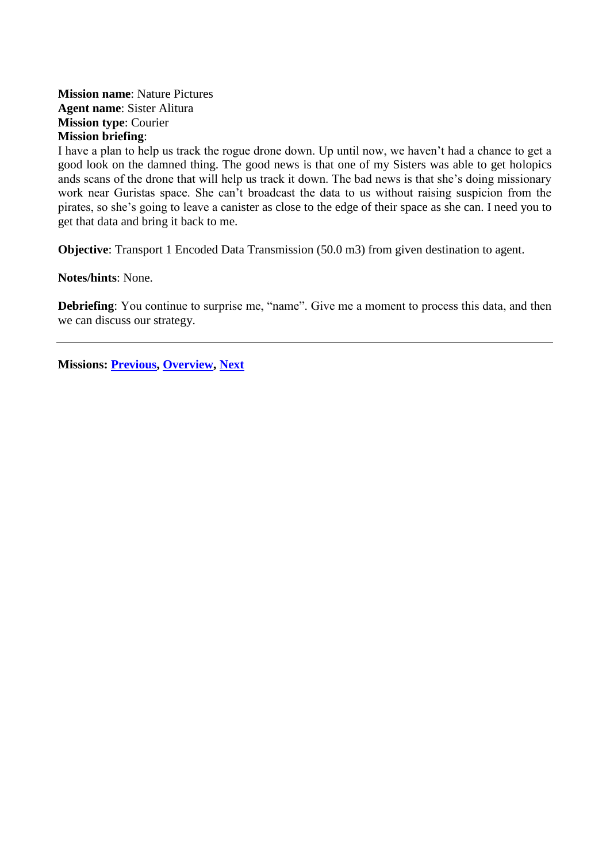## <span id="page-41-0"></span>**Mission name**: Nature Pictures **Agent name**: Sister Alitura **Mission type**: Courier **Mission briefing**:

I have a plan to help us track the rogue drone down. Up until now, we haven't had a chance to get a good look on the damned thing. The good news is that one of my Sisters was able to get holopics ands scans of the drone that will help us track it down. The bad news is that she's doing missionary work near Guristas space. She can't broadcast the data to us without raising suspicion from the pirates, so she's going to leave a canister as close to the edge of their space as she can. I need you to get that data and bring it back to me.

**Objective**: Transport 1 Encoded Data Transmission (50.0 m3) from given destination to agent.

**Notes/hints**: None.

**Debriefing**: You continue to surprise me, "name". Give me a moment to process this data, and then we can discuss our strategy.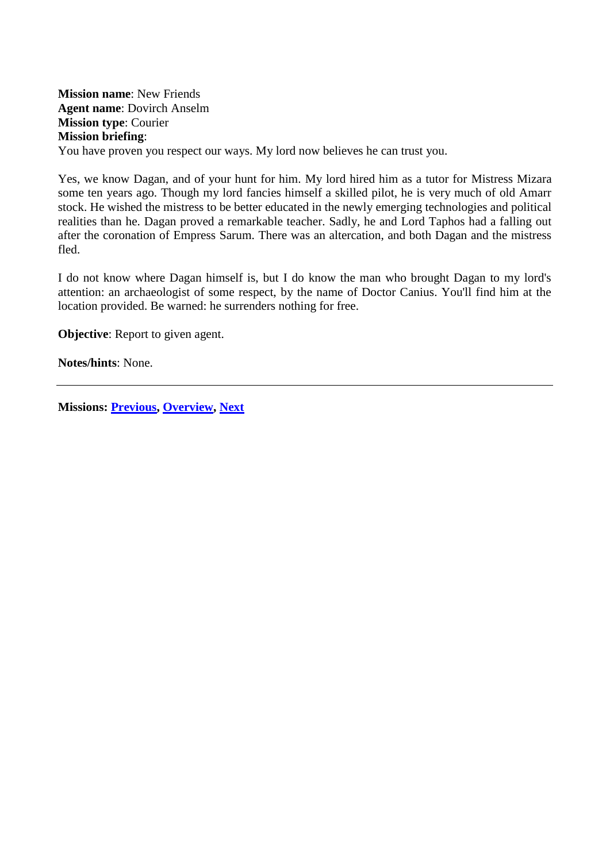<span id="page-42-0"></span>**Mission name**: New Friends **Agent name**: Dovirch Anselm **Mission type**: Courier **Mission briefing**: You have proven you respect our ways. My lord now believes he can trust you.

Yes, we know Dagan, and of your hunt for him. My lord hired him as a tutor for Mistress Mizara some ten years ago. Though my lord fancies himself a skilled pilot, he is very much of old Amarr stock. He wished the mistress to be better educated in the newly emerging technologies and political realities than he. Dagan proved a remarkable teacher. Sadly, he and Lord Taphos had a falling out after the coronation of Empress Sarum. There was an altercation, and both Dagan and the mistress fled.

I do not know where Dagan himself is, but I do know the man who brought Dagan to my lord's attention: an archaeologist of some respect, by the name of Doctor Canius. You'll find him at the location provided. Be warned: he surrenders nothing for free.

**Objective:** Report to given agent.

**Notes/hints**: None.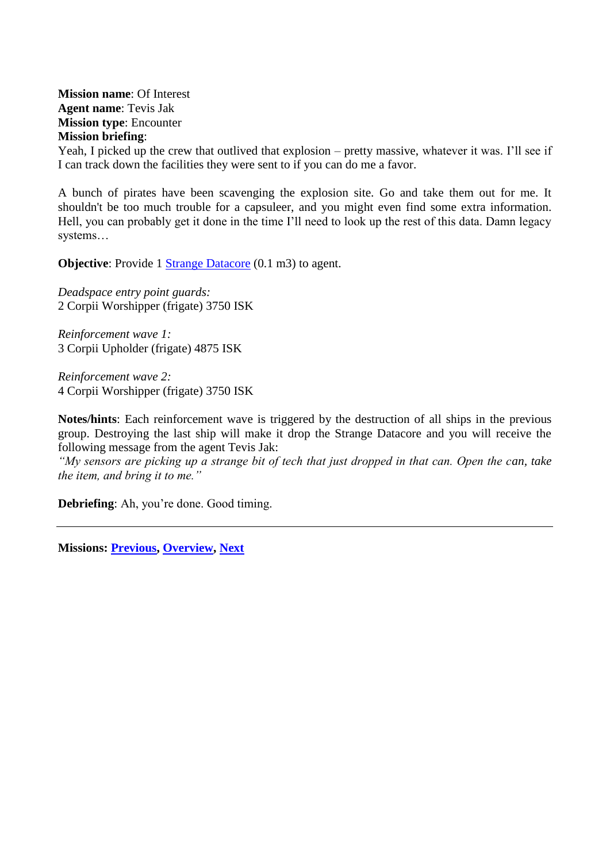<span id="page-43-0"></span>**Mission name**: Of Interest **Agent name**: Tevis Jak **Mission type**: Encounter **Mission briefing**:

Yeah, I picked up the crew that outlived that explosion – pretty massive, whatever it was. I'll see if I can track down the facilities they were sent to if you can do me a favor.

A bunch of pirates have been scavenging the explosion site. Go and take them out for me. It shouldn't be too much trouble for a capsuleer, and you might even find some extra information. Hell, you can probably get it done in the time I'll need to look up the rest of this data. Damn legacy systems…

**Objective:** Provide 1 [Strange Datacore](#page-74-0) (0.1 m3) to agent.

*Deadspace entry point guards:* 2 Corpii Worshipper (frigate) 3750 ISK

*Reinforcement wave 1:* 3 Corpii Upholder (frigate) 4875 ISK

*Reinforcement wave 2:* 4 Corpii Worshipper (frigate) 3750 ISK

**Notes/hints**: Each reinforcement wave is triggered by the destruction of all ships in the previous group. Destroying the last ship will make it drop the Strange Datacore and you will receive the following message from the agent Tevis Jak:

*"My sensors are picking up a strange bit of tech that just dropped in that can. Open the can, take the item, and bring it to me."*

**Debriefing**: Ah, you're done. Good timing.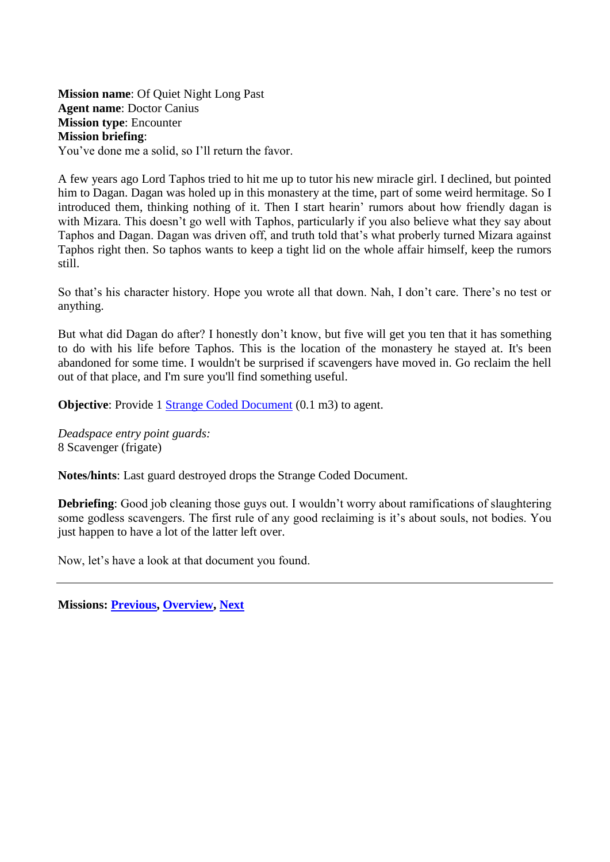<span id="page-44-0"></span>**Mission name**: Of Quiet Night Long Past **Agent name**: Doctor Canius **Mission type**: Encounter **Mission briefing**: You've done me a solid, so I'll return the favor.

A few years ago Lord Taphos tried to hit me up to tutor his new miracle girl. I declined, but pointed him to Dagan. Dagan was holed up in this monastery at the time, part of some weird hermitage. So I introduced them, thinking nothing of it. Then I start hearin' rumors about how friendly dagan is with Mizara. This doesn't go well with Taphos, particularly if you also believe what they say about Taphos and Dagan. Dagan was driven off, and truth told that's what proberly turned Mizara against Taphos right then. So taphos wants to keep a tight lid on the whole affair himself, keep the rumors still.

So that's his character history. Hope you wrote all that down. Nah, I don't care. There's no test or anything.

But what did Dagan do after? I honestly don't know, but five will get you ten that it has something to do with his life before Taphos. This is the location of the monastery he stayed at. It's been abandoned for some time. I wouldn't be surprised if scavengers have moved in. Go reclaim the hell out of that place, and I'm sure you'll find something useful.

**Objective:** Provide 1 [Strange Coded Document](#page-74-1) (0.1 m3) to agent.

*Deadspace entry point guards:* 8 Scavenger (frigate)

**Notes/hints**: Last guard destroyed drops the Strange Coded Document.

**Debriefing**: Good job cleaning those guys out. I wouldn't worry about ramifications of slaughtering some godless scavengers. The first rule of any good reclaiming is it's about souls, not bodies. You just happen to have a lot of the latter left over.

Now, let's have a look at that document you found.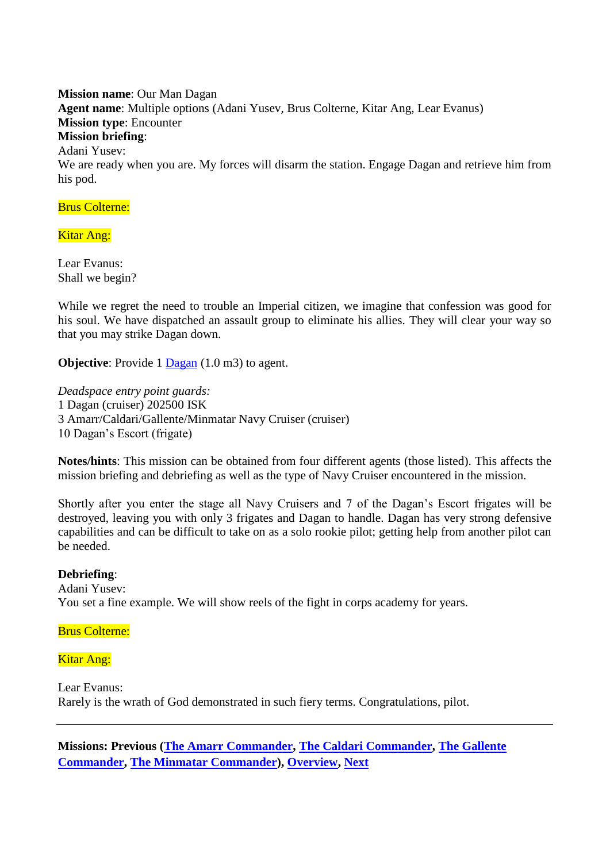<span id="page-45-0"></span>**Mission name**: Our Man Dagan **Agent name**: Multiple options (Adani Yusev, Brus Colterne, Kitar Ang, Lear Evanus) **Mission type**: Encounter **Mission briefing**: Adani Yusev: We are ready when you are. My forces will disarm the station. Engage Dagan and retrieve him from his pod.

## Brus Colterne:

## Kitar Ang:

Lear Evanus: Shall we begin?

While we regret the need to trouble an Imperial citizen, we imagine that confession was good for his soul. We have dispatched an assault group to eliminate his allies. They will clear your way so that you may strike Dagan down.

**Objective:** Provide 1 [Dagan](#page-70-0) (1.0 m3) to agent.

*Deadspace entry point guards:* 1 Dagan (cruiser) 202500 ISK 3 Amarr/Caldari/Gallente/Minmatar Navy Cruiser (cruiser) 10 Dagan's Escort (frigate)

**Notes/hints**: This mission can be obtained from four different agents (those listed). This affects the mission briefing and debriefing as well as the type of Navy Cruiser encountered in the mission.

Shortly after you enter the stage all Navy Cruisers and 7 of the Dagan's Escort frigates will be destroyed, leaving you with only 3 frigates and Dagan to handle. Dagan has very strong defensive capabilities and can be difficult to take on as a solo rookie pilot; getting help from another pilot can be needed.

## **Debriefing**:

Adani Yusev: You set a fine example. We will show reels of the fight in corps academy for years.

#### Brus Colterne:

Kitar Ang:

Lear Evanus: Rarely is the wrath of God demonstrated in such fiery terms. Congratulations, pilot.

**Missions: Previous [\(The Amarr Commander,](#page-56-0) [The Caldari Commander,](#page-57-0) [The Gallente](#page-58-0)  [Commander,](#page-58-0) [The Minmatar Commander\)](#page-59-0), [Overview,](#page-5-0) [Next](#page-26-0)**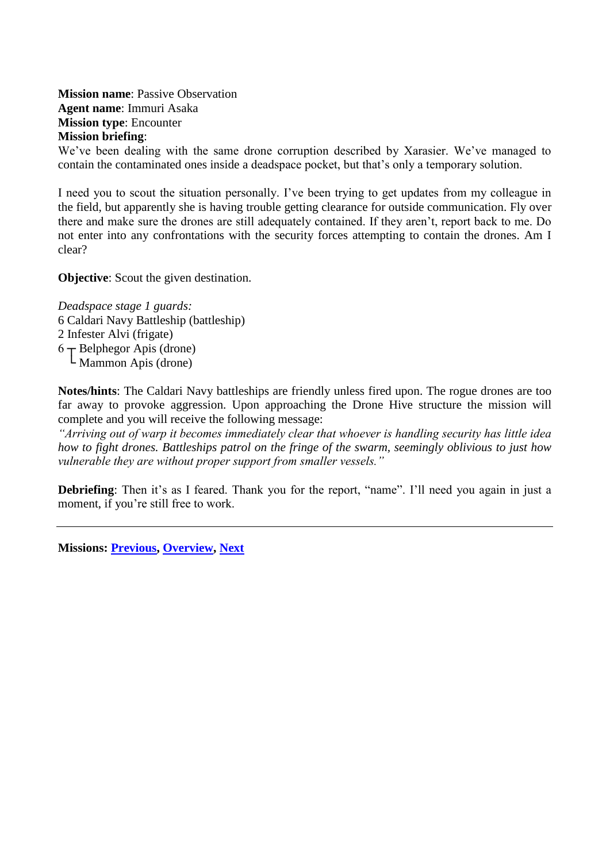<span id="page-47-0"></span>**Mission name**: Passive Observation **Agent name**: Immuri Asaka **Mission type**: Encounter **Mission briefing**:

We've been dealing with the same drone corruption described by Xarasier. We've managed to contain the contaminated ones inside a deadspace pocket, but that's only a temporary solution.

I need you to scout the situation personally. I've been trying to get updates from my colleague in the field, but apparently she is having trouble getting clearance for outside communication. Fly over there and make sure the drones are still adequately contained. If they aren't, report back to me. Do not enter into any confrontations with the security forces attempting to contain the drones. Am I clear?

**Objective:** Scout the given destination.

*Deadspace stage 1 guards:* 6 Caldari Navy Battleship (battleship) 2 Infester Alvi (frigate)  $6$   $\rightarrow$  Belphegor Apis (drone)  $\mathsf{\mathsf{L}}$  Mammon Apis (drone)

**Notes/hints**: The Caldari Navy battleships are friendly unless fired upon. The rogue drones are too far away to provoke aggression. Upon approaching the Drone Hive structure the mission will complete and you will receive the following message:

*"Arriving out of warp it becomes immediately clear that whoever is handling security has little idea how to fight drones. Battleships patrol on the fringe of the swarm, seemingly oblivious to just how vulnerable they are without proper support from smaller vessels."*

**Debriefing**: Then it's as I feared. Thank you for the report, "name". I'll need you again in just a moment, if you're still free to work.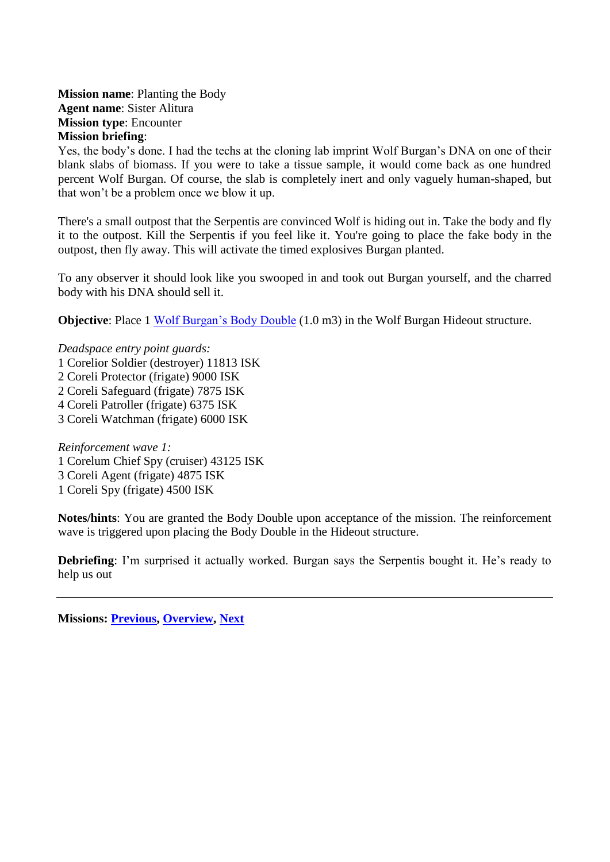**Mission name**: Planting the Body **Agent name**: Sister Alitura **Mission type**: Encounter **Mission briefing**:

Yes, the body's done. I had the techs at the cloning lab imprint Wolf Burgan's DNA on one of their blank slabs of biomass. If you were to take a tissue sample, it would come back as one hundred percent Wolf Burgan. Of course, the slab is completely inert and only vaguely human-shaped, but that won't be a problem once we blow it up.

There's a small outpost that the Serpentis are convinced Wolf is hiding out in. Take the body and fly it to the outpost. Kill the Serpentis if you feel like it. You're going to place the fake body in the outpost, then fly away. This will activate the timed explosives Burgan planted.

To any observer it should look like you swooped in and took out Burgan yourself, and the charred body with his DNA should sell it.

**Objective**: Place 1 [Wolf Burgan's Body Double](#page-76-0) (1.0 m3) in the Wolf Burgan Hideout structure.

- *Deadspace entry point guards:*
- 1 Corelior Soldier (destroyer) 11813 ISK
- 2 Coreli Protector (frigate) 9000 ISK
- 2 Coreli Safeguard (frigate) 7875 ISK
- 4 Coreli Patroller (frigate) 6375 ISK
- 3 Coreli Watchman (frigate) 6000 ISK

*Reinforcement wave 1:* 1 Corelum Chief Spy (cruiser) 43125 ISK 3 Coreli Agent (frigate) 4875 ISK 1 Coreli Spy (frigate) 4500 ISK

**Notes/hints**: You are granted the Body Double upon acceptance of the mission. The reinforcement wave is triggered upon placing the Body Double in the Hideout structure.

**Debriefing**: I'm surprised it actually worked. Burgan says the Serpentis bought it. He's ready to help us out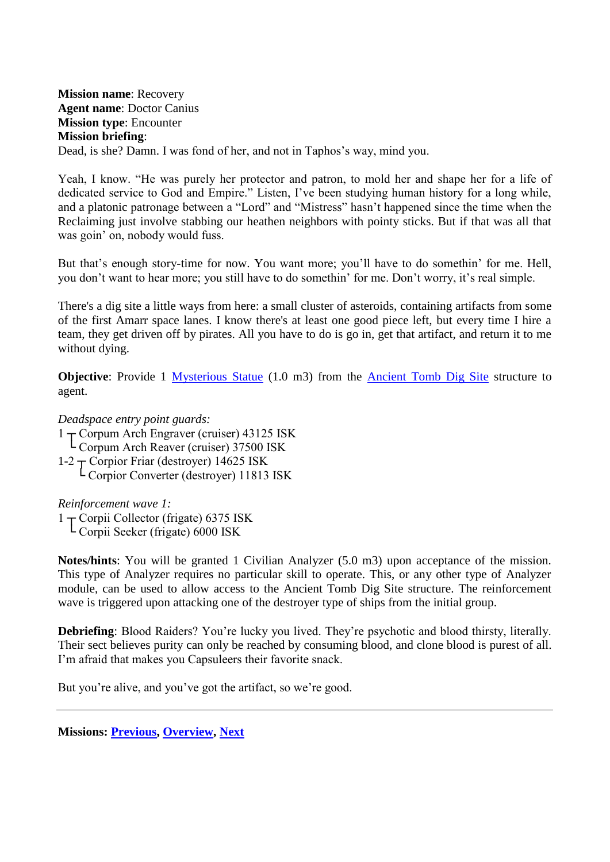<span id="page-49-0"></span>**Mission name**: Recovery **Agent name**: Doctor Canius **Mission type**: Encounter **Mission briefing**: Dead, is she? Damn. I was fond of her, and not in Taphos's way, mind you.

Yeah, I know. "He was purely her protector and patron, to mold her and shape her for a life of dedicated service to God and Empire." Listen, I've been studying human history for a long while, and a platonic patronage between a "Lord" and "Mistress" hasn't happened since the time when the Reclaiming just involve stabbing our heathen neighbors with pointy sticks. But if that was all that was goin' on, nobody would fuss.

But that's enough story-time for now. You want more; you'll have to do somethin' for me. Hell, you don't want to hear more; you still have to do somethin' for me. Don't worry, it's real simple.

There's a dig site a little ways from here: a small cluster of asteroids, containing artifacts from some of the first Amarr space lanes. I know there's at least one good piece left, but every time I hire a team, they get driven off by pirates. All you have to do is go in, get that artifact, and return it to me without dying.

**Objective**: Provide 1 [Mysterious Statue](#page-72-0) (1.0 m3) from the [Ancient Tomb Dig Site](#page-69-0) structure to agent.

*Deadspace entry point guards:*

- $1 -$ Corpum Arch Engraver (cruiser) 43125 ISK
- └ Corpum Arch Reaver (cruiser) 37500 ISK
- $1-2$   $\rightarrow$  Corpior Friar (destroyer) 14625 ISK
	- └ Corpior Converter (destroyer) 11813 ISK

*Reinforcement wave 1:*

 $1 -$ Corpii Collector (frigate) 6375 ISK └ Corpii Seeker (frigate) 6000 ISK

**Notes/hints**: You will be granted 1 Civilian Analyzer (5.0 m3) upon acceptance of the mission. This type of Analyzer requires no particular skill to operate. This, or any other type of Analyzer module, can be used to allow access to the Ancient Tomb Dig Site structure. The reinforcement wave is triggered upon attacking one of the destroyer type of ships from the initial group.

**Debriefing**: Blood Raiders? You're lucky you lived. They're psychotic and blood thirsty, literally. Their sect believes purity can only be reached by consuming blood, and clone blood is purest of all. I'm afraid that makes you Capsuleers their favorite snack.

But you're alive, and you've got the artifact, so we're good.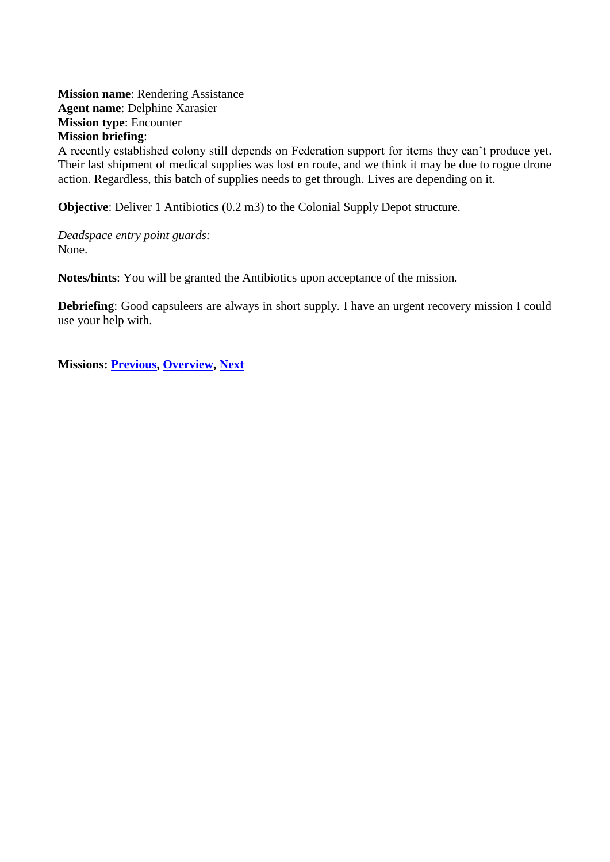<span id="page-50-0"></span>**Mission name**: Rendering Assistance **Agent name**: Delphine Xarasier **Mission type**: Encounter **Mission briefing**:

A recently established colony still depends on Federation support for items they can't produce yet. Their last shipment of medical supplies was lost en route, and we think it may be due to rogue drone action. Regardless, this batch of supplies needs to get through. Lives are depending on it.

**Objective**: Deliver 1 Antibiotics (0.2 m3) to the Colonial Supply Depot structure.

*Deadspace entry point guards:* None.

**Notes/hints**: You will be granted the Antibiotics upon acceptance of the mission.

**Debriefing**: Good capsuleers are always in short supply. I have an urgent recovery mission I could use your help with.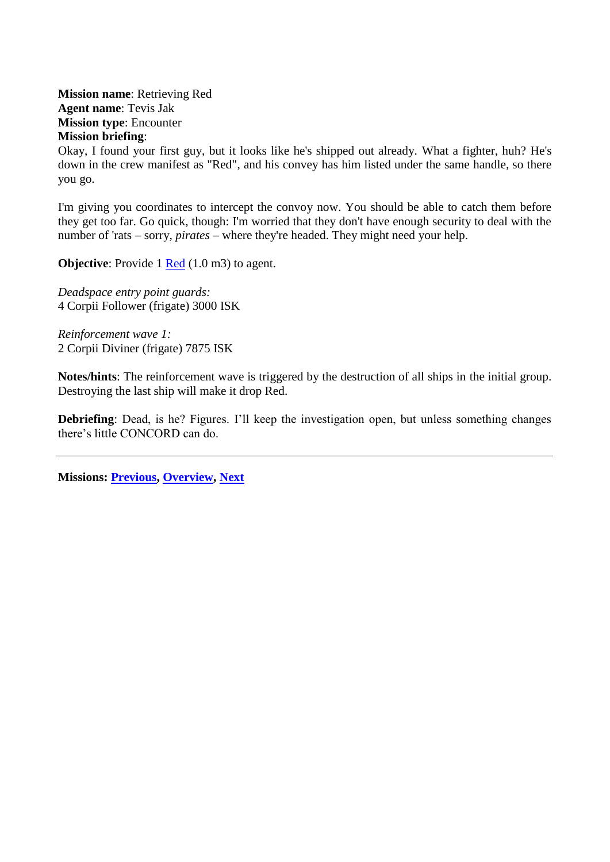<span id="page-51-0"></span>**Mission name**: Retrieving Red **Agent name**: Tevis Jak **Mission type**: Encounter **Mission briefing**:

Okay, I found your first guy, but it looks like he's shipped out already. What a fighter, huh? He's down in the crew manifest as "Red", and his convey has him listed under the same handle, so there you go.

I'm giving you coordinates to intercept the convoy now. You should be able to catch them before they get too far. Go quick, though: I'm worried that they don't have enough security to deal with the number of 'rats – sorry, *pirates* – where they're headed. They might need your help.

**Objective:** Provide 1 [Red](#page-73-0) (1.0 m3) to agent.

*Deadspace entry point guards:* 4 Corpii Follower (frigate) 3000 ISK

*Reinforcement wave 1:* 2 Corpii Diviner (frigate) 7875 ISK

**Notes/hints**: The reinforcement wave is triggered by the destruction of all ships in the initial group. Destroying the last ship will make it drop Red.

**Debriefing**: Dead, is he? Figures. I'll keep the investigation open, but unless something changes there's little CONCORD can do.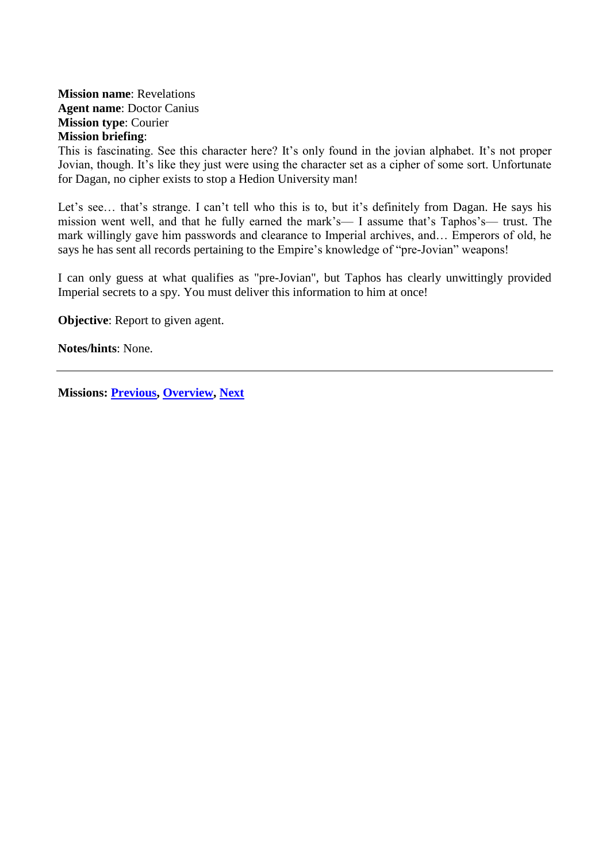## <span id="page-52-0"></span>**Mission name**: Revelations **Agent name**: Doctor Canius **Mission type**: Courier **Mission briefing**:

This is fascinating. See this character here? It's only found in the jovian alphabet. It's not proper Jovian, though. It's like they just were using the character set as a cipher of some sort. Unfortunate for Dagan, no cipher exists to stop a Hedion University man!

Let's see... that's strange. I can't tell who this is to, but it's definitely from Dagan. He says his mission went well, and that he fully earned the mark's— I assume that's Taphos's— trust. The mark willingly gave him passwords and clearance to Imperial archives, and… Emperors of old, he says he has sent all records pertaining to the Empire's knowledge of "pre-Jovian" weapons!

I can only guess at what qualifies as "pre-Jovian", but Taphos has clearly unwittingly provided Imperial secrets to a spy. You must deliver this information to him at once!

**Objective:** Report to given agent.

**Notes/hints**: None.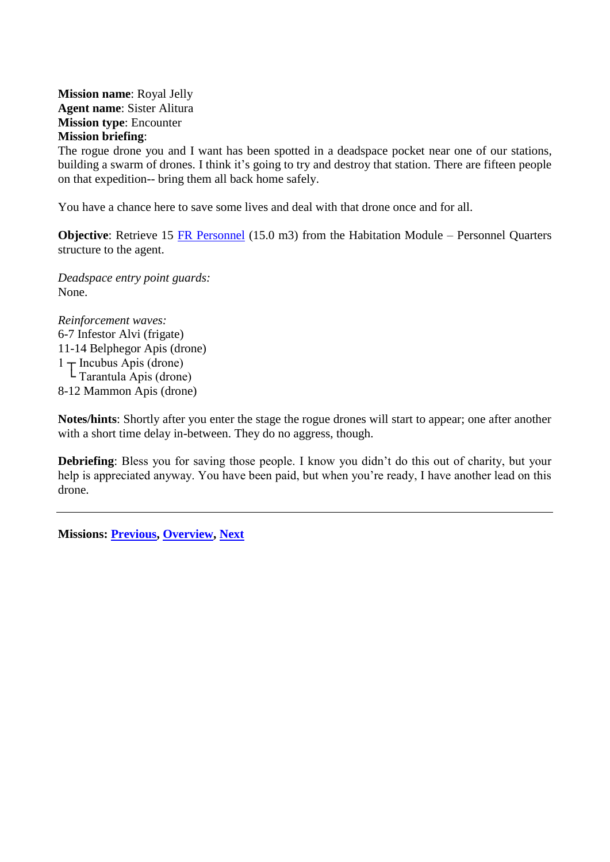<span id="page-53-0"></span>**Mission name**: Royal Jelly **Agent name**: Sister Alitura **Mission type**: Encounter **Mission briefing**:

The rogue drone you and I want has been spotted in a deadspace pocket near one of our stations, building a swarm of drones. I think it's going to try and destroy that station. There are fifteen people on that expedition-- bring them all back home safely.

You have a chance here to save some lives and deal with that drone once and for all.

**Objective**: Retrieve 15 [FR Personnel](#page-71-1) (15.0 m3) from the Habitation Module – Personnel Quarters structure to the agent.

*Deadspace entry point guards:* None.

*Reinforcement waves:* 6-7 Infestor Alvi (frigate) 11-14 Belphegor Apis (drone)  $1 \uparrow$  Incubus Apis (drone) └ Tarantula Apis (drone) 8-12 Mammon Apis (drone)

**Notes/hints**: Shortly after you enter the stage the rogue drones will start to appear; one after another with a short time delay in-between. They do no aggress, though.

**Debriefing**: Bless you for saving those people. I know you didn't do this out of charity, but your help is appreciated anyway. You have been paid, but when you're ready, I have another lead on this drone.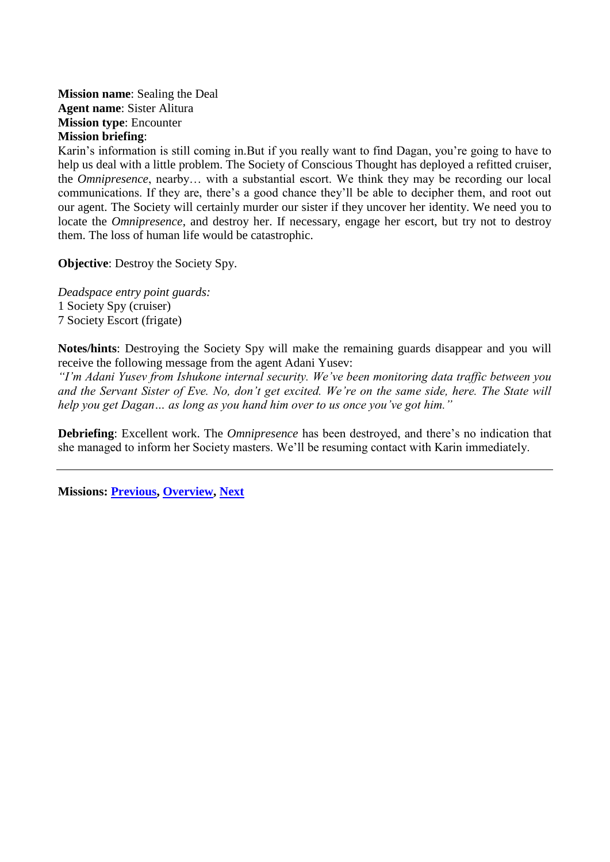<span id="page-54-0"></span>**Mission name**: Sealing the Deal **Agent name**: Sister Alitura **Mission type**: Encounter **Mission briefing**:

Karin's information is still coming in.But if you really want to find Dagan, you're going to have to help us deal with a little problem. The Society of Conscious Thought has deployed a refitted cruiser, the *Omnipresence*, nearby… with a substantial escort. We think they may be recording our local communications. If they are, there's a good chance they'll be able to decipher them, and root out our agent. The Society will certainly murder our sister if they uncover her identity. We need you to locate the *Omnipresence*, and destroy her. If necessary, engage her escort, but try not to destroy them. The loss of human life would be catastrophic.

**Objective:** Destroy the Society Spy.

*Deadspace entry point guards:* 1 Society Spy (cruiser) 7 Society Escort (frigate)

**Notes/hints**: Destroying the Society Spy will make the remaining guards disappear and you will receive the following message from the agent Adani Yusev:

*"I'm Adani Yusev from Ishukone internal security. We've been monitoring data traffic between you and the Servant Sister of Eve. No, don't get excited. We're on the same side, here. The State will help you get Dagan… as long as you hand him over to us once you've got him."*

**Debriefing**: Excellent work. The *Omnipresence* has been destroyed, and there's no indication that she managed to inform her Society masters. We'll be resuming contact with Karin immediately.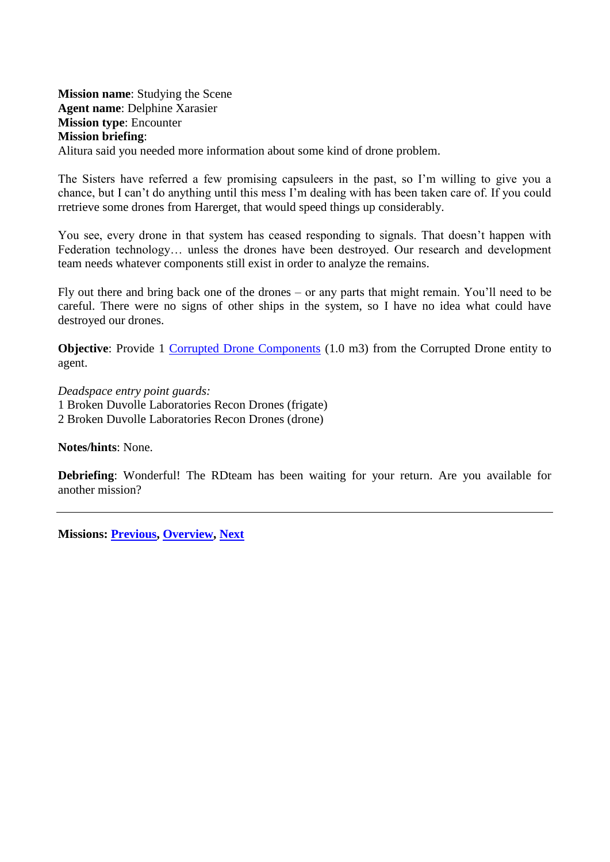<span id="page-55-0"></span>**Mission name**: Studying the Scene **Agent name**: Delphine Xarasier **Mission type**: Encounter **Mission briefing**: Alitura said you needed more information about some kind of drone problem.

The Sisters have referred a few promising capsuleers in the past, so I'm willing to give you a chance, but I can't do anything until this mess I'm dealing with has been taken care of. If you could rretrieve some drones from Harerget, that would speed things up considerably.

You see, every drone in that system has ceased responding to signals. That doesn't happen with Federation technology… unless the drones have been destroyed. Our research and development team needs whatever components still exist in order to analyze the remains.

Fly out there and bring back one of the drones – or any parts that might remain. You'll need to be careful. There were no signs of other ships in the system, so I have no idea what could have destroyed our drones.

**Objective:** Provide 1 [Corrupted Drone Components](#page-69-1) (1.0 m3) from the Corrupted Drone entity to agent.

*Deadspace entry point guards:* 1 Broken Duvolle Laboratories Recon Drones (frigate) 2 Broken Duvolle Laboratories Recon Drones (drone)

**Notes/hints**: None.

**Debriefing**: Wonderful! The RDteam has been waiting for your return. Are you available for another mission?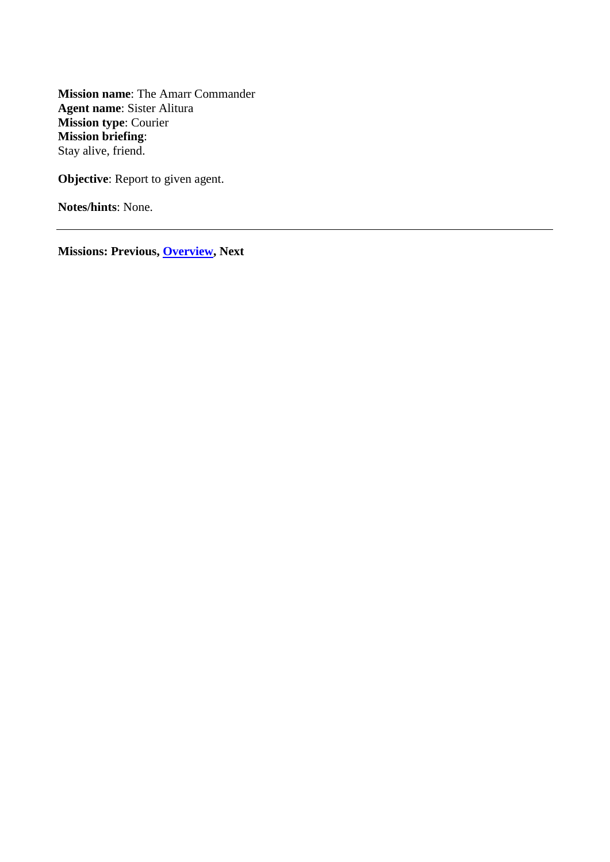<span id="page-56-0"></span>**Mission name**: The Amarr Commander **Agent name**: Sister Alitura **Mission type**: Courier **Mission briefing**: Stay alive, friend.

**Objective:** Report to given agent.

**Notes/hints**: None.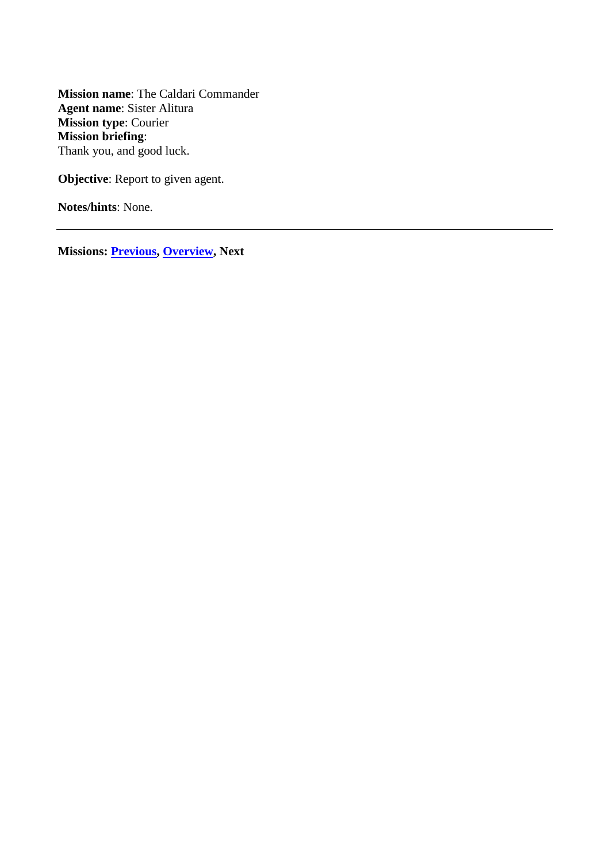<span id="page-57-0"></span>**Mission name**: The Caldari Commander **Agent name**: Sister Alitura **Mission type**: Courier **Mission briefing**: Thank you, and good luck.

**Objective:** Report to given agent.

**Notes/hints**: None.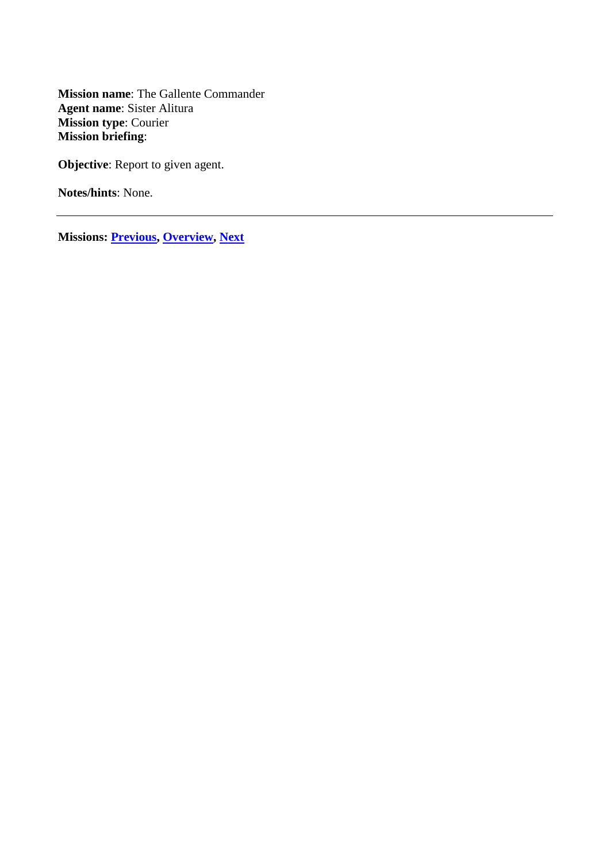<span id="page-58-0"></span>**Mission name**: The Gallente Commander **Agent name**: Sister Alitura **Mission type**: Courier **Mission briefing**:

**Objective:** Report to given agent.

**Notes/hints**: None.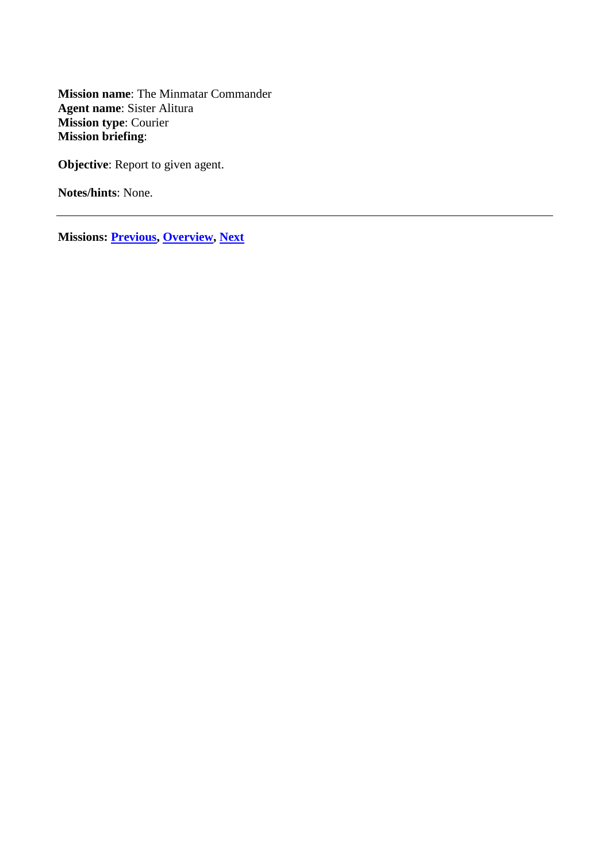<span id="page-59-0"></span>**Mission name**: The Minmatar Commander **Agent name**: Sister Alitura **Mission type**: Courier **Mission briefing**:

**Objective:** Report to given agent.

**Notes/hints**: None.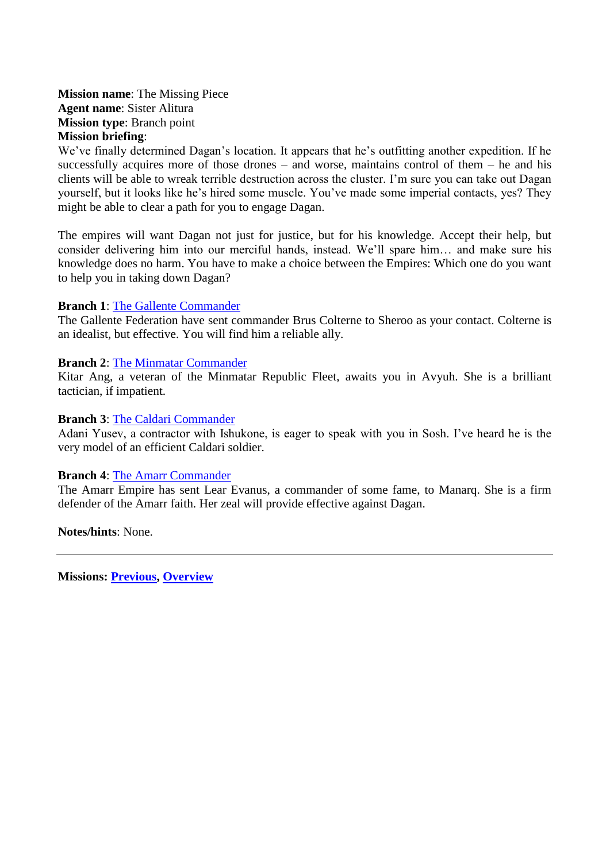<span id="page-60-0"></span>**Mission name**: The Missing Piece **Agent name**: Sister Alitura **Mission type**: Branch point **Mission briefing**:

We've finally determined Dagan's location. It appears that he's outfitting another expedition. If he successfully acquires more of those drones – and worse, maintains control of them – he and his clients will be able to wreak terrible destruction across the cluster. I'm sure you can take out Dagan yourself, but it looks like he's hired some muscle. You've made some imperial contacts, yes? They might be able to clear a path for you to engage Dagan.

The empires will want Dagan not just for justice, but for his knowledge. Accept their help, but consider delivering him into our merciful hands, instead. We'll spare him… and make sure his knowledge does no harm. You have to make a choice between the Empires: Which one do you want to help you in taking down Dagan?

#### **Branch 1**: [The Gallente Commander](#page-58-0)

The Gallente Federation have sent commander Brus Colterne to Sheroo as your contact. Colterne is an idealist, but effective. You will find him a reliable ally.

#### **Branch 2**: [The Minmatar Commander](#page-59-0)

Kitar Ang, a veteran of the Minmatar Republic Fleet, awaits you in Avyuh. She is a brilliant tactician, if impatient.

#### **Branch 3**: [The Caldari Commander](#page-57-0)

Adani Yusev, a contractor with Ishukone, is eager to speak with you in Sosh. I've heard he is the very model of an efficient Caldari soldier.

#### **Branch 4**: [The Amarr Commander](#page-56-0)

The Amarr Empire has sent Lear Evanus, a commander of some fame, to Manarq. She is a firm defender of the Amarr faith. Her zeal will provide effective against Dagan.

**Notes/hints**: None.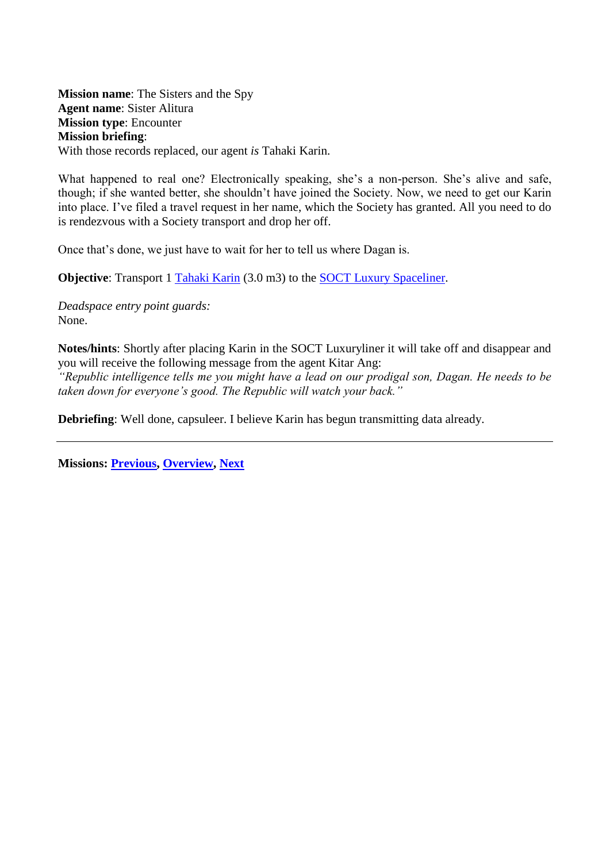<span id="page-61-0"></span>**Mission name**: The Sisters and the Spy **Agent name**: Sister Alitura **Mission type**: Encounter **Mission briefing**: With those records replaced, our agent *is* Tahaki Karin.

What happened to real one? Electronically speaking, she's a non-person. She's alive and safe, though; if she wanted better, she shouldn't have joined the Society. Now, we need to get our Karin into place. I've filed a travel request in her name, which the Society has granted. All you need to do is rendezvous with a Society transport and drop her off.

Once that's done, we just have to wait for her to tell us where Dagan is.

**Objective:** Transport 1 [Tahaki Karin](#page-74-2) (3.0 m3) to the [SOCT Luxury Spaceliner.](#page-74-3)

*Deadspace entry point guards:* None.

**Notes/hints**: Shortly after placing Karin in the SOCT Luxuryliner it will take off and disappear and you will receive the following message from the agent Kitar Ang:

*"Republic intelligence tells me you might have a lead on our prodigal son, Dagan. He needs to be taken down for everyone's good. The Republic will watch your back."*

**Debriefing**: Well done, capsuleer. I believe Karin has begun transmitting data already.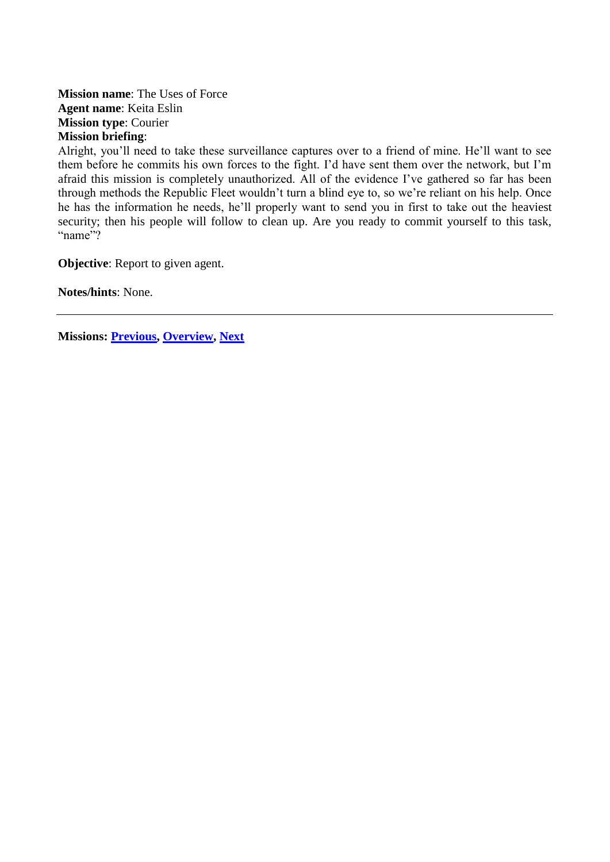**Mission name**: The Uses of Force **Agent name**: Keita Eslin **Mission type**: Courier **Mission briefing**:

Alright, you'll need to take these surveillance captures over to a friend of mine. He'll want to see them before he commits his own forces to the fight. I'd have sent them over the network, but I'm afraid this mission is completely unauthorized. All of the evidence I've gathered so far has been through methods the Republic Fleet wouldn't turn a blind eye to, so we're reliant on his help. Once he has the information he needs, he'll properly want to send you in first to take out the heaviest security; then his people will follow to clean up. Are you ready to commit yourself to this task, "name"?

**Objective:** Report to given agent.

**Notes/hints**: None.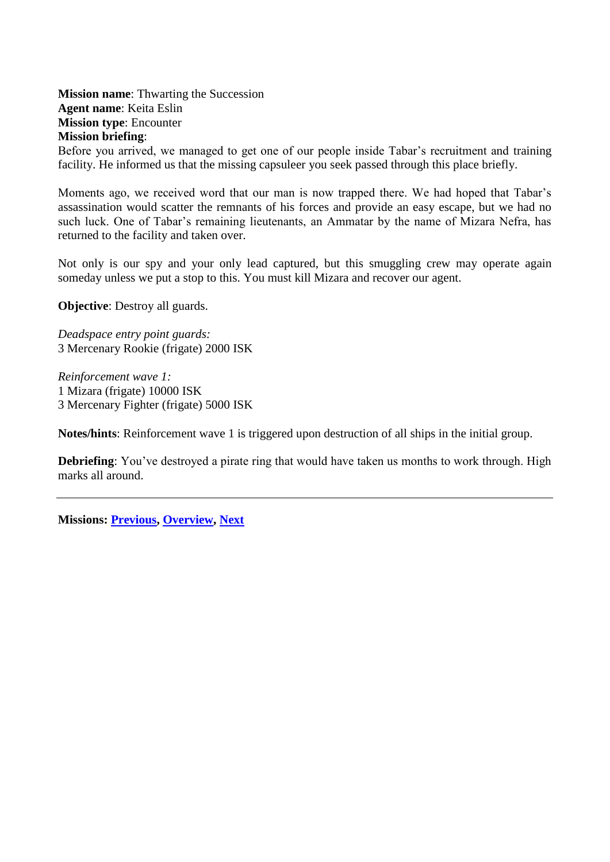<span id="page-63-0"></span>**Mission name**: Thwarting the Succession **Agent name**: Keita Eslin **Mission type**: Encounter **Mission briefing**:

Before you arrived, we managed to get one of our people inside Tabar's recruitment and training facility. He informed us that the missing capsuleer you seek passed through this place briefly.

Moments ago, we received word that our man is now trapped there. We had hoped that Tabar's assassination would scatter the remnants of his forces and provide an easy escape, but we had no such luck. One of Tabar's remaining lieutenants, an Ammatar by the name of Mizara Nefra, has returned to the facility and taken over.

Not only is our spy and your only lead captured, but this smuggling crew may operate again someday unless we put a stop to this. You must kill Mizara and recover our agent.

**Objective**: Destroy all guards.

*Deadspace entry point guards:* 3 Mercenary Rookie (frigate) 2000 ISK

*Reinforcement wave 1:* 1 Mizara (frigate) 10000 ISK 3 Mercenary Fighter (frigate) 5000 ISK

**Notes/hints**: Reinforcement wave 1 is triggered upon destruction of all ships in the initial group.

**Debriefing**: You've destroyed a pirate ring that would have taken us months to work through. High marks all around.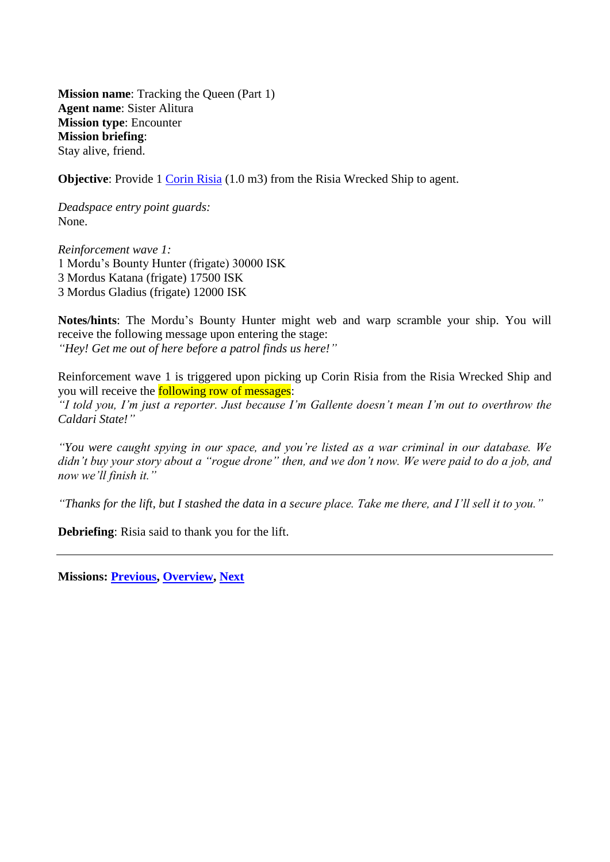<span id="page-64-0"></span>**Mission name:** Tracking the Queen (Part 1) **Agent name**: Sister Alitura **Mission type**: Encounter **Mission briefing**: Stay alive, friend.

**Objective**: Provide 1 [Corin Risia](#page-70-1) (1.0 m3) from the Risia Wrecked Ship to agent.

*Deadspace entry point guards:* None.

*Reinforcement wave 1:* 1 Mordu's Bounty Hunter (frigate) 30000 ISK 3 Mordus Katana (frigate) 17500 ISK 3 Mordus Gladius (frigate) 12000 ISK

**Notes/hints**: The Mordu's Bounty Hunter might web and warp scramble your ship. You will receive the following message upon entering the stage: *"Hey! Get me out of here before a patrol finds us here!"*

Reinforcement wave 1 is triggered upon picking up Corin Risia from the Risia Wrecked Ship and you will receive the following row of messages:

*"I told you, I'm just a reporter. Just because I'm Gallente doesn't mean I'm out to overthrow the Caldari State!"*

*"You were caught spying in our space, and you're listed as a war criminal in our database. We didn't buy your story about a "rogue drone" then, and we don't now. We were paid to do a job, and now we'll finish it."*

*"Thanks for the lift, but I stashed the data in a secure place. Take me there, and I'll sell it to you."*

**Debriefing**: Risia said to thank you for the lift.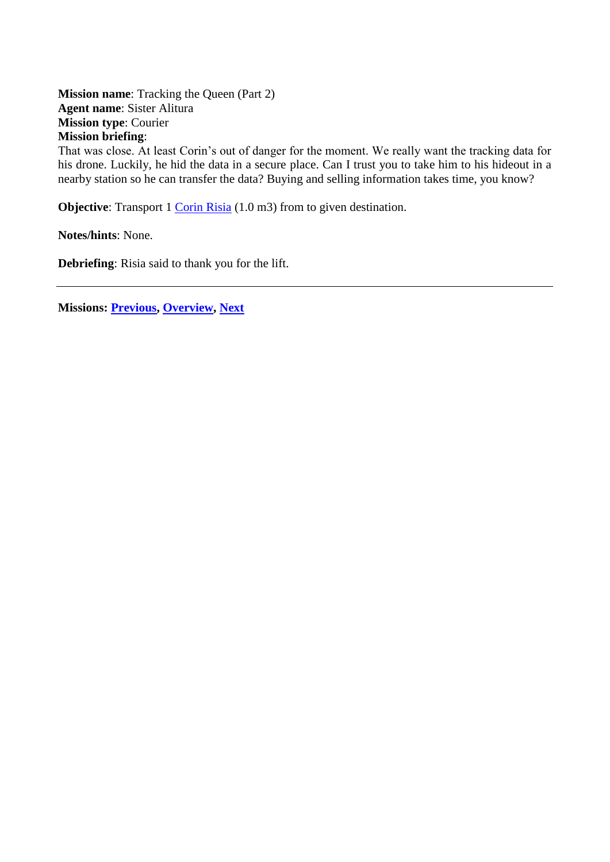<span id="page-65-0"></span>**Mission name:** Tracking the Queen (Part 2) **Agent name**: Sister Alitura **Mission type**: Courier **Mission briefing**:

That was close. At least Corin's out of danger for the moment. We really want the tracking data for his drone. Luckily, he hid the data in a secure place. Can I trust you to take him to his hideout in a nearby station so he can transfer the data? Buying and selling information takes time, you know?

**Objective:** Transport 1 [Corin Risia](#page-70-1) (1.0 m3) from to given destination.

**Notes/hints**: None.

**Debriefing**: Risia said to thank you for the lift.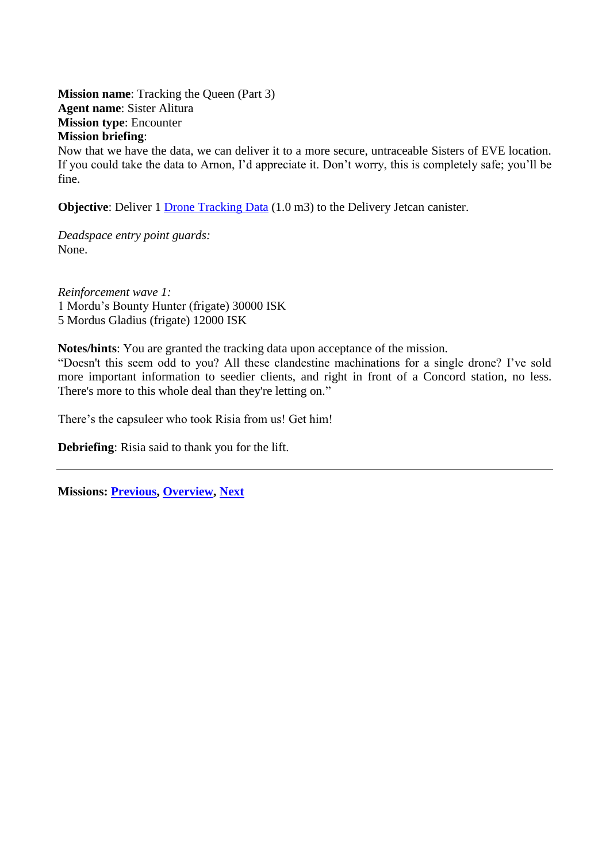<span id="page-66-0"></span>**Mission name:** Tracking the Queen (Part 3) **Agent name**: Sister Alitura **Mission type**: Encounter **Mission briefing**:

Now that we have the data, we can deliver it to a more secure, untraceable Sisters of EVE location. If you could take the data to Arnon, I'd appreciate it. Don't worry, this is completely safe; you'll be fine.

**Objective**: Deliver 1 [Drone Tracking Data](#page-70-2) (1.0 m3) to the Delivery Jetcan canister.

*Deadspace entry point guards:* None.

*Reinforcement wave 1:* 1 Mordu's Bounty Hunter (frigate) 30000 ISK 5 Mordus Gladius (frigate) 12000 ISK

**Notes/hints**: You are granted the tracking data upon acceptance of the mission.

―Doesn't this seem odd to you? All these clandestine machinations for a single drone? I've sold more important information to seedier clients, and right in front of a Concord station, no less. There's more to this whole deal than they're letting on."

There's the capsuleer who took Risia from us! Get him!

**Debriefing**: Risia said to thank you for the lift.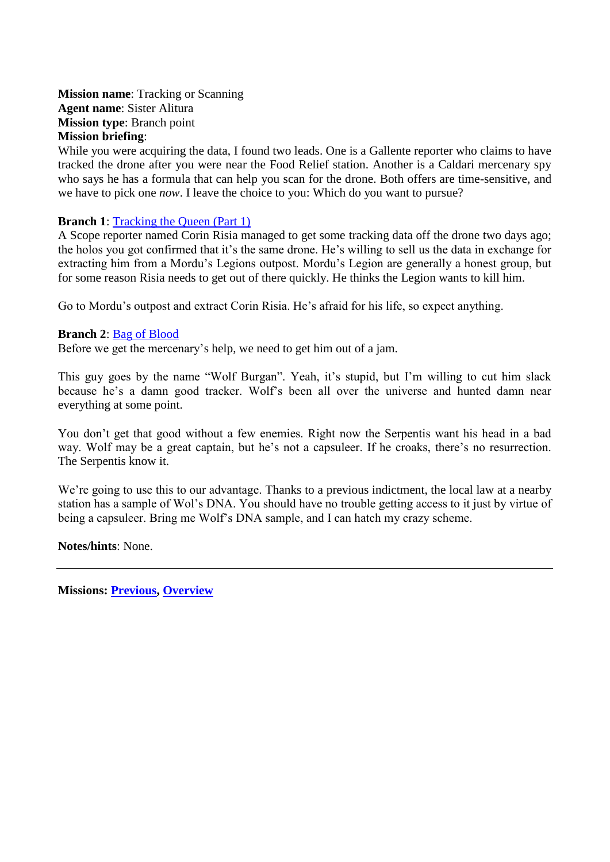<span id="page-67-0"></span>**Mission name**: Tracking or Scanning **Agent name**: Sister Alitura **Mission type**: Branch point **Mission briefing**:

While you were acquiring the data, I found two leads. One is a Gallente reporter who claims to have tracked the drone after you were near the Food Relief station. Another is a Caldari mercenary spy who says he has a formula that can help you scan for the drone. Both offers are time-sensitive, and we have to pick one *now*. I leave the choice to you: Which do you want to pursue?

## **Branch 1:** [Tracking the Queen \(Part 1\)](#page-64-0)

A Scope reporter named Corin Risia managed to get some tracking data off the drone two days ago; the holos you got confirmed that it's the same drone. He's willing to sell us the data in exchange for extracting him from a Mordu's Legions outpost. Mordu's Legion are generally a honest group, but for some reason Risia needs to get out of there quickly. He thinks the Legion wants to kill him.

Go to Mordu's outpost and extract Corin Risia. He's afraid for his life, so expect anything.

#### **Branch 2**: [Bag of Blood](#page-16-0)

Before we get the mercenary's help, we need to get him out of a jam.

This guy goes by the name "Wolf Burgan". Yeah, it's stupid, but I'm willing to cut him slack because he's a damn good tracker. Wolf's been all over the universe and hunted damn near everything at some point.

You don't get that good without a few enemies. Right now the Serpentis want his head in a bad way. Wolf may be a great captain, but he's not a capsuleer. If he croaks, there's no resurrection. The Serpentis know it.

We're going to use this to our advantage. Thanks to a previous indictment, the local law at a nearby station has a sample of Wol's DNA. You should have no trouble getting access to it just by virtue of being a capsuleer. Bring me Wolf's DNA sample, and I can hatch my crazy scheme.

**Notes/hints**: None.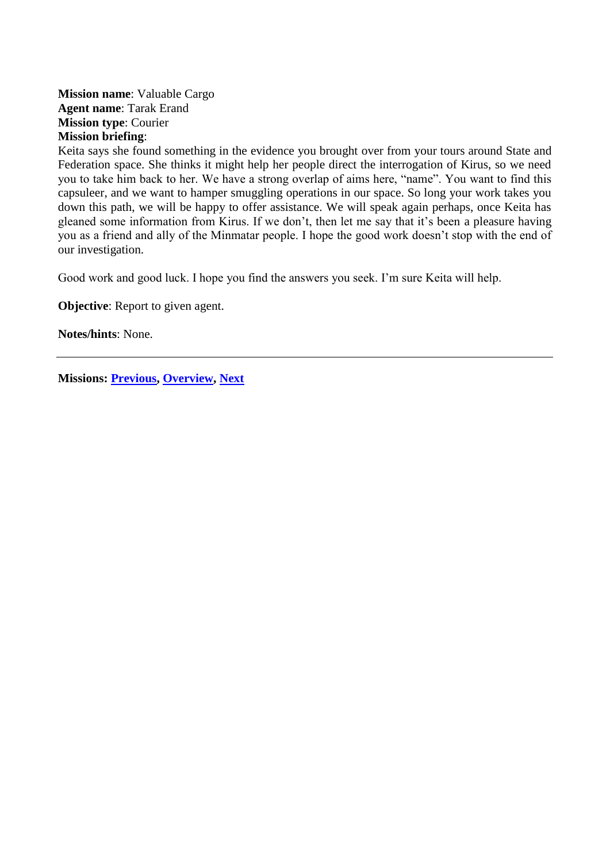## <span id="page-68-0"></span>**Mission name**: Valuable Cargo **Agent name**: Tarak Erand **Mission type**: Courier **Mission briefing**:

Keita says she found something in the evidence you brought over from your tours around State and Federation space. She thinks it might help her people direct the interrogation of Kirus, so we need you to take him back to her. We have a strong overlap of aims here, "name". You want to find this capsuleer, and we want to hamper smuggling operations in our space. So long your work takes you down this path, we will be happy to offer assistance. We will speak again perhaps, once Keita has gleaned some information from Kirus. If we don't, then let me say that it's been a pleasure having you as a friend and ally of the Minmatar people. I hope the good work doesn't stop with the end of our investigation.

Good work and good luck. I hope you find the answers you seek. I'm sure Keita will help.

**Objective:** Report to given agent.

**Notes/hints**: None.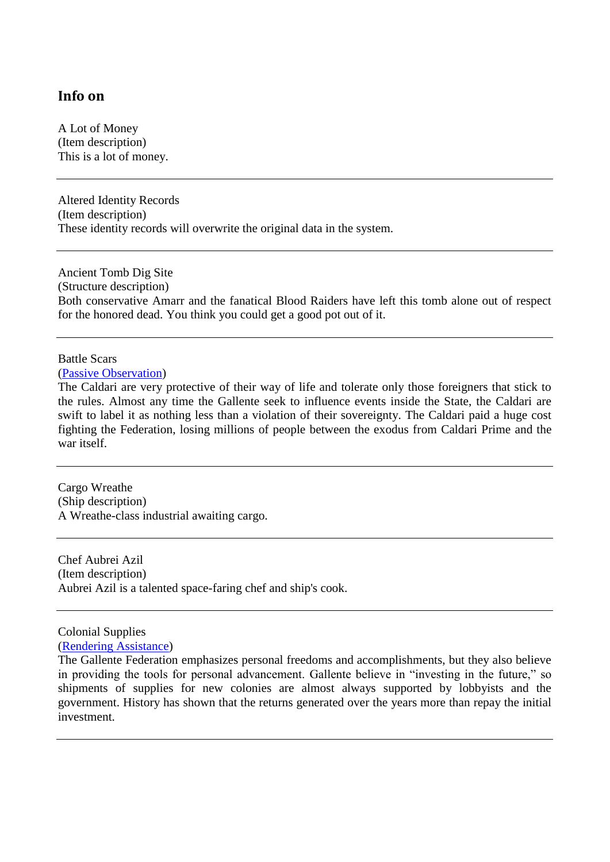## **Info on**

A Lot of Money (Item description) This is a lot of money.

Altered Identity Records (Item description) These identity records will overwrite the original data in the system.

<span id="page-69-0"></span>Ancient Tomb Dig Site (Structure description) Both conservative Amarr and the fanatical Blood Raiders have left this tomb alone out of respect for the honored dead. You think you could get a good pot out of it.

## Battle Scars

#### [\(Passive Observation\)](#page-47-0)

The Caldari are very protective of their way of life and tolerate only those foreigners that stick to the rules. Almost any time the Gallente seek to influence events inside the State, the Caldari are swift to label it as nothing less than a violation of their sovereignty. The Caldari paid a huge cost fighting the Federation, losing millions of people between the exodus from Caldari Prime and the war itself.

Cargo Wreathe (Ship description) A Wreathe-class industrial awaiting cargo.

Chef Aubrei Azil (Item description) Aubrei Azil is a talented space-faring chef and ship's cook.

<span id="page-69-1"></span>Colonial Supplies

[\(Rendering Assistance\)](#page-50-0)

The Gallente Federation emphasizes personal freedoms and accomplishments, but they also believe in providing the tools for personal advancement. Gallente believe in "investing in the future," so shipments of supplies for new colonies are almost always supported by lobbyists and the government. History has shown that the returns generated over the years more than repay the initial investment.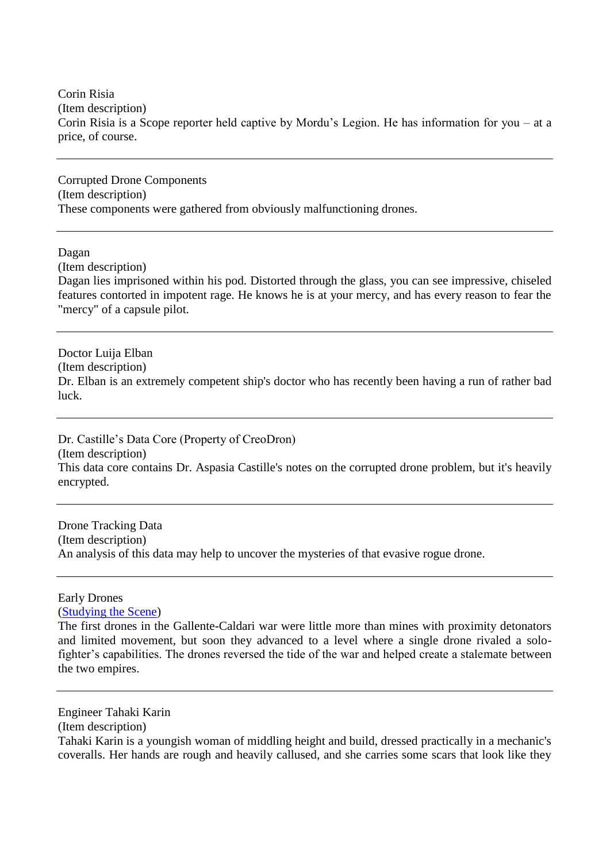<span id="page-70-1"></span>Corin Risia (Item description) Corin Risia is a Scope reporter held captive by Mordu's Legion. He has information for you – at a price, of course.

Corrupted Drone Components (Item description) These components were gathered from obviously malfunctioning drones.

<span id="page-70-0"></span>Dagan

(Item description)

Dagan lies imprisoned within his pod. Distorted through the glass, you can see impressive, chiseled features contorted in impotent rage. He knows he is at your mercy, and has every reason to fear the "mercy" of a capsule pilot.

Doctor Luija Elban (Item description) Dr. Elban is an extremely competent ship's doctor who has recently been having a run of rather bad luck.

Dr. Castille's Data Core (Property of CreoDron) (Item description) This data core contains Dr. Aspasia Castille's notes on the corrupted drone problem, but it's heavily encrypted.

<span id="page-70-2"></span>Drone Tracking Data (Item description) An analysis of this data may help to uncover the mysteries of that evasive rogue drone.

#### Early Drones

[\(Studying the Scene\)](#page-55-0)

The first drones in the Gallente-Caldari war were little more than mines with proximity detonators and limited movement, but soon they advanced to a level where a single drone rivaled a solofighter's capabilities. The drones reversed the tide of the war and helped create a stalemate between the two empires.

Engineer Tahaki Karin

(Item description)

Tahaki Karin is a youngish woman of middling height and build, dressed practically in a mechanic's coveralls. Her hands are rough and heavily callused, and she carries some scars that look like they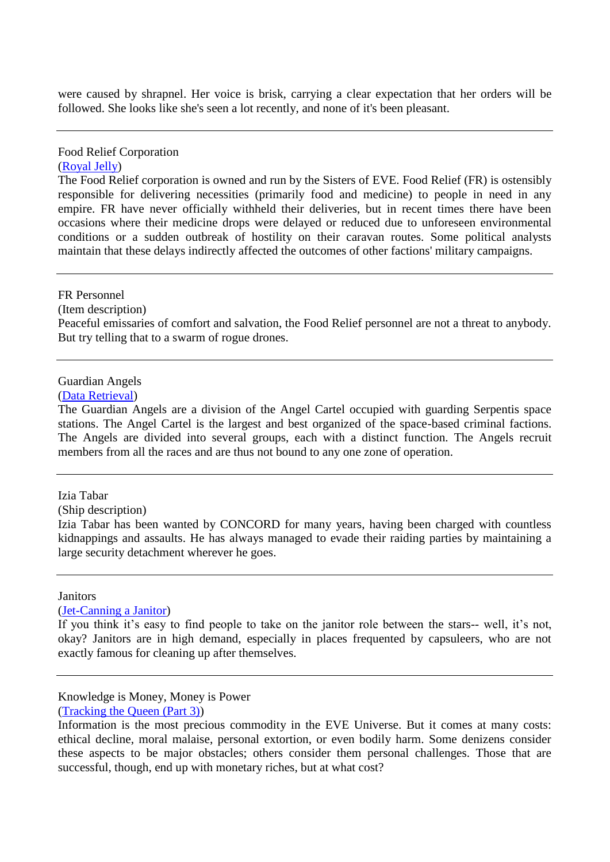were caused by shrapnel. Her voice is brisk, carrying a clear expectation that her orders will be followed. She looks like she's seen a lot recently, and none of it's been pleasant.

# Food Relief Corporation

## [\(Royal Jelly\)](#page-53-0)

The Food Relief corporation is owned and run by the Sisters of EVE. Food Relief (FR) is ostensibly responsible for delivering necessities (primarily food and medicine) to people in need in any empire. FR have never officially withheld their deliveries, but in recent times there have been occasions where their medicine drops were delayed or reduced due to unforeseen environmental conditions or a sudden outbreak of hostility on their caravan routes. Some political analysts maintain that these delays indirectly affected the outcomes of other factions' military campaigns.

#### <span id="page-71-1"></span>FR Personnel

(Item description)

Peaceful emissaries of comfort and salvation, the Food Relief personnel are not a threat to anybody. But try telling that to a swarm of rogue drones.

## Guardian Angels

[\(Data Retrieval\)](#page-28-0)

The Guardian Angels are a division of the Angel Cartel occupied with guarding Serpentis space stations. The Angel Cartel is the largest and best organized of the space-based criminal factions. The Angels are divided into several groups, each with a distinct function. The Angels recruit members from all the races and are thus not bound to any one zone of operation.

#### <span id="page-71-0"></span>Izia Tabar

(Ship description)

Izia Tabar has been wanted by CONCORD for many years, having been charged with countless kidnappings and assaults. He has always managed to evade their raiding parties by maintaining a large security detachment wherever he goes.

#### **Janitors**

[\(Jet-Canning a Janitor\)](#page-37-0)

If you think it's easy to find people to take on the janitor role between the stars-- well, it's not, okay? Janitors are in high demand, especially in places frequented by capsuleers, who are not exactly famous for cleaning up after themselves.

## Knowledge is Money, Money is Power

[\(Tracking the Queen \(Part 3\)\)](#page-66-0)

Information is the most precious commodity in the EVE Universe. But it comes at many costs: ethical decline, moral malaise, personal extortion, or even bodily harm. Some denizens consider these aspects to be major obstacles; others consider them personal challenges. Those that are successful, though, end up with monetary riches, but at what cost?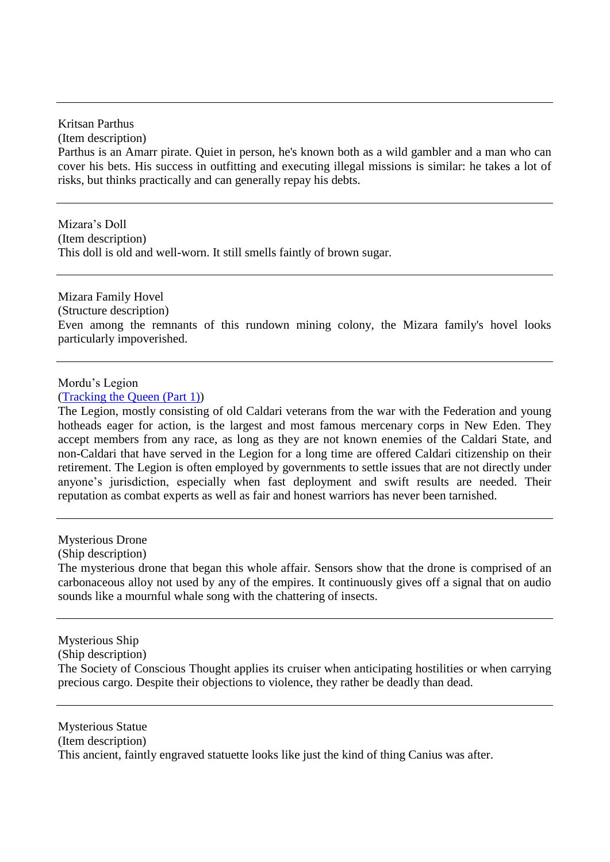Kritsan Parthus

(Item description)

Parthus is an Amarr pirate. Quiet in person, he's known both as a wild gambler and a man who can cover his bets. His success in outfitting and executing illegal missions is similar: he takes a lot of risks, but thinks practically and can generally repay his debts.

Mizara's Doll (Item description) This doll is old and well-worn. It still smells faintly of brown sugar.

Mizara Family Hovel (Structure description) Even among the remnants of this rundown mining colony, the Mizara family's hovel looks particularly impoverished.

### Mordu's Legion

[\(Tracking the Queen \(Part 1\)\)](#page-64-0)

The Legion, mostly consisting of old Caldari veterans from the war with the Federation and young hotheads eager for action, is the largest and most famous mercenary corps in New Eden. They accept members from any race, as long as they are not known enemies of the Caldari State, and non-Caldari that have served in the Legion for a long time are offered Caldari citizenship on their retirement. The Legion is often employed by governments to settle issues that are not directly under anyone's jurisdiction, especially when fast deployment and swift results are needed. Their reputation as combat experts as well as fair and honest warriors has never been tarnished.

Mysterious Drone

(Ship description)

The mysterious drone that began this whole affair. Sensors show that the drone is comprised of an carbonaceous alloy not used by any of the empires. It continuously gives off a signal that on audio sounds like a mournful whale song with the chattering of insects.

Mysterious Ship

(Ship description)

The Society of Conscious Thought applies its cruiser when anticipating hostilities or when carrying precious cargo. Despite their objections to violence, they rather be deadly than dead.

Mysterious Statue (Item description) This ancient, faintly engraved statuette looks like just the kind of thing Canius was after.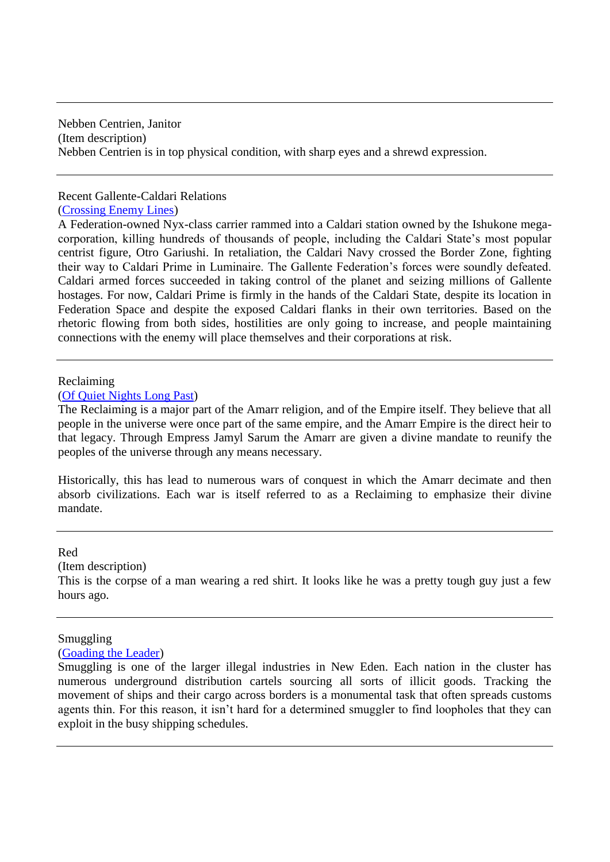Nebben Centrien, Janitor (Item description) Nebben Centrien is in top physical condition, with sharp eyes and a shrewd expression.

# Recent Gallente-Caldari Relations [\(Crossing Enemy Lines\)](#page-25-0)

A Federation-owned Nyx-class carrier rammed into a Caldari station owned by the Ishukone megacorporation, killing hundreds of thousands of people, including the Caldari State's most popular centrist figure, Otro Gariushi. In retaliation, the Caldari Navy crossed the Border Zone, fighting their way to Caldari Prime in Luminaire. The Gallente Federation's forces were soundly defeated. Caldari armed forces succeeded in taking control of the planet and seizing millions of Gallente hostages. For now, Caldari Prime is firmly in the hands of the Caldari State, despite its location in Federation Space and despite the exposed Caldari flanks in their own territories. Based on the rhetoric flowing from both sides, hostilities are only going to increase, and people maintaining connections with the enemy will place themselves and their corporations at risk.

#### Reclaiming

#### [\(Of Quiet Nights Long Past\)](#page-44-0)

The Reclaiming is a major part of the Amarr religion, and of the Empire itself. They believe that all people in the universe were once part of the same empire, and the Amarr Empire is the direct heir to that legacy. Through Empress Jamyl Sarum the Amarr are given a divine mandate to reunify the peoples of the universe through any means necessary.

Historically, this has lead to numerous wars of conquest in which the Amarr decimate and then absorb civilizations. Each war is itself referred to as a Reclaiming to emphasize their divine mandate.

#### Red

(Item description)

This is the corpse of a man wearing a red shirt. It looks like he was a pretty tough guy just a few hours ago.

### Smuggling

[\(Goading the Leader\)](#page-32-0)

Smuggling is one of the larger illegal industries in New Eden. Each nation in the cluster has numerous underground distribution cartels sourcing all sorts of illicit goods. Tracking the movement of ships and their cargo across borders is a monumental task that often spreads customs agents thin. For this reason, it isn't hard for a determined smuggler to find loopholes that they can exploit in the busy shipping schedules.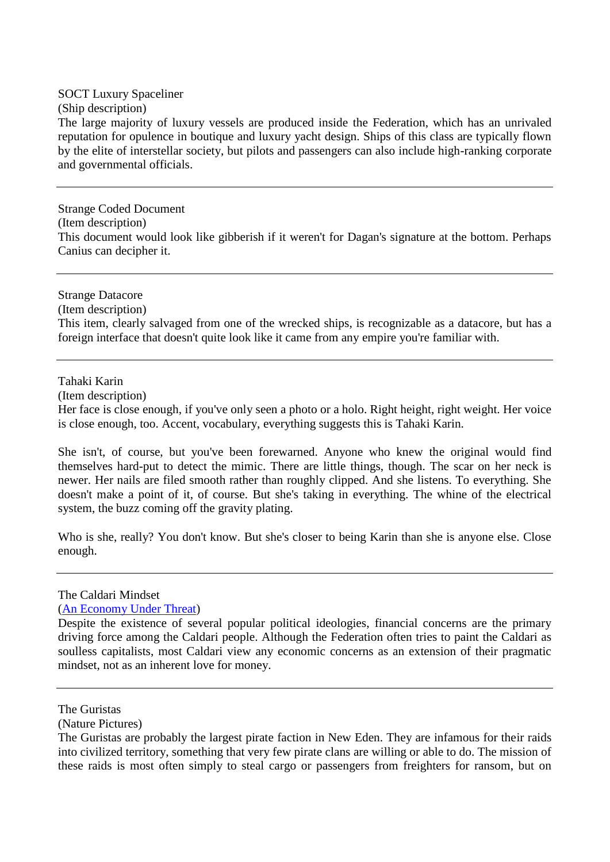SOCT Luxury Spaceliner (Ship description) The large majority of luxury vessels are produced inside the Federation, which has an unrivaled reputation for opulence in boutique and luxury yacht design. Ships of this class are typically flown by the elite of interstellar society, but pilots and passengers can also include high-ranking corporate and governmental officials.

Strange Coded Document (Item description) This document would look like gibberish if it weren't for Dagan's signature at the bottom. Perhaps Canius can decipher it.

Strange Datacore (Item description) This item, clearly salvaged from one of the wrecked ships, is recognizable as a datacore, but has a foreign interface that doesn't quite look like it came from any empire you're familiar with.

Tahaki Karin

(Item description)

Her face is close enough, if you've only seen a photo or a holo. Right height, right weight. Her voice is close enough, too. Accent, vocabulary, everything suggests this is Tahaki Karin.

She isn't, of course, but you've been forewarned. Anyone who knew the original would find themselves hard-put to detect the mimic. There are little things, though. The scar on her neck is newer. Her nails are filed smooth rather than roughly clipped. And she listens. To everything. She doesn't make a point of it, of course. But she's taking in everything. The whine of the electrical system, the buzz coming off the gravity plating.

Who is she, really? You don't know. But she's closer to being Karin than she is anyone else. Close enough.

The Caldari Mindset

[\(An Economy Under Threat\)](#page-14-0)

Despite the existence of several popular political ideologies, financial concerns are the primary driving force among the Caldari people. Although the Federation often tries to paint the Caldari as soulless capitalists, most Caldari view any economic concerns as an extension of their pragmatic mindset, not as an inherent love for money.

(Nature Pictures)

The Guristas

The Guristas are probably the largest pirate faction in New Eden. They are infamous for their raids into civilized territory, something that very few pirate clans are willing or able to do. The mission of these raids is most often simply to steal cargo or passengers from freighters for ransom, but on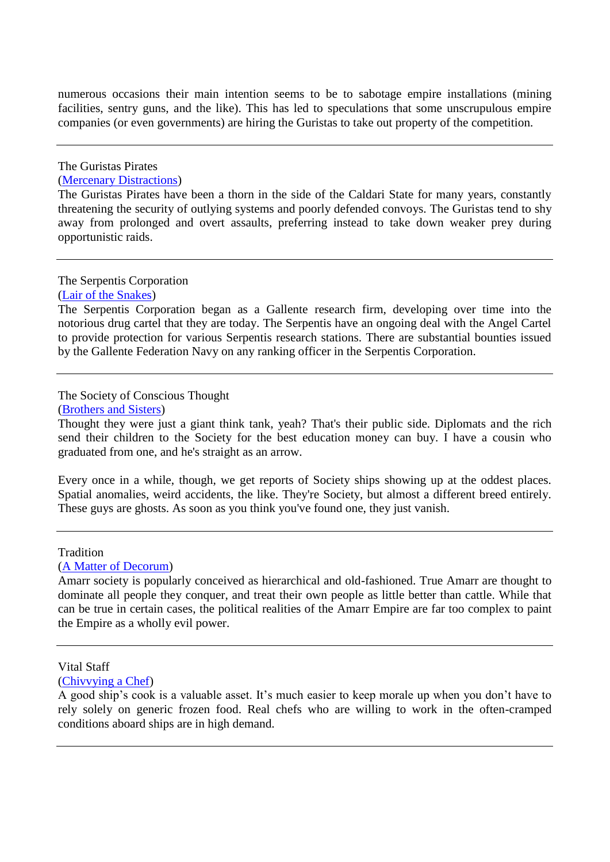numerous occasions their main intention seems to be to sabotage empire installations (mining facilities, sentry guns, and the like). This has led to speculations that some unscrupulous empire companies (or even governments) are hiring the Guristas to take out property of the competition.

# The Guristas Pirates

# [\(Mercenary Distractions\)](#page-40-0)

The Guristas Pirates have been a thorn in the side of the Caldari State for many years, constantly threatening the security of outlying systems and poorly defended convoys. The Guristas tend to shy away from prolonged and overt assaults, preferring instead to take down weaker prey during opportunistic raids.

The Serpentis Corporation

[\(Lair of the Snakes\)](#page-38-0)

The Serpentis Corporation began as a Gallente research firm, developing over time into the notorious drug cartel that they are today. The Serpentis have an ongoing deal with the Angel Cartel to provide protection for various Serpentis research stations. There are substantial bounties issued by the Gallente Federation Navy on any ranking officer in the Serpentis Corporation.

# The Society of Conscious Thought

[\(Brothers and Sisters\)](#page-17-0)

Thought they were just a giant think tank, yeah? That's their public side. Diplomats and the rich send their children to the Society for the best education money can buy. I have a cousin who graduated from one, and he's straight as an arrow.

Every once in a while, though, we get reports of Society ships showing up at the oddest places. Spatial anomalies, weird accidents, the like. They're Society, but almost a different breed entirely. These guys are ghosts. As soon as you think you've found one, they just vanish.

### **Tradition**

[\(A Matter of Decorum\)](#page-9-0)

Amarr society is popularly conceived as hierarchical and old-fashioned. True Amarr are thought to dominate all people they conquer, and treat their own people as little better than cattle. While that can be true in certain cases, the political realities of the Amarr Empire are far too complex to paint the Empire as a wholly evil power.

A good ship's cook is a valuable asset. It's much easier to keep morale up when you don't have to rely solely on generic frozen food. Real chefs who are willing to work in the often-cramped conditions aboard ships are in high demand.

Vital Staff

[<sup>\(</sup>Chivvying a Chef\)](#page-24-0)